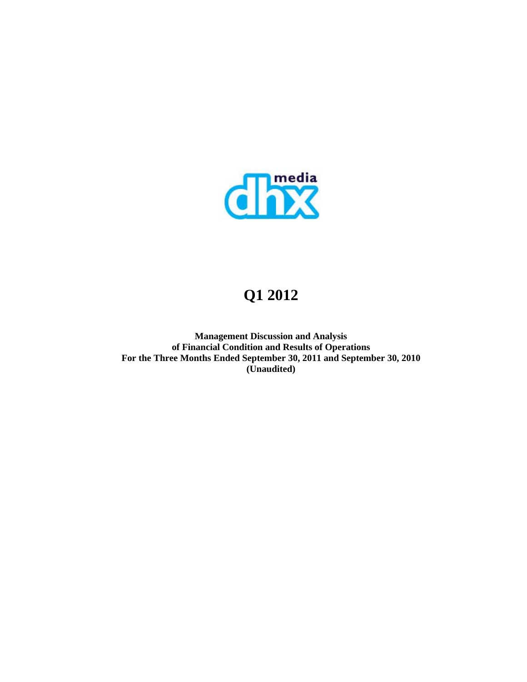

# **Q1 2012**

**Management Discussion and Analysis of Financial Condition and Results of Operations For the Three Months Ended September 30, 2011 and September 30, 2010 (Unaudited)**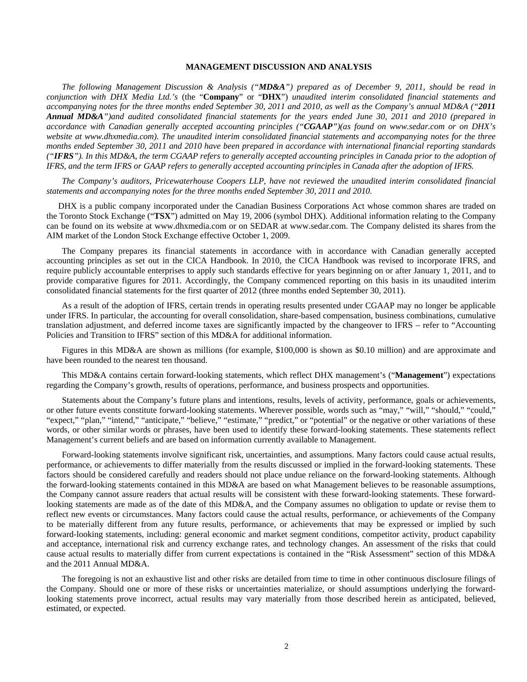# **MANAGEMENT DISCUSSION AND ANALYSIS**

*The following Management Discussion & Analysis ("MD&A") prepared as of December 9, 2011, should be read in conjunction with DHX Media Ltd.'s* (the "**Company**" or "**DHX**") *unaudited interim consolidated financial statements and accompanying notes for the three months ended September 30, 2011 and 2010, as well as the Company's annual MD&A ("2011 Annual MD&A")and audited consolidated financial statements for the years ended June 30, 2011 and 2010 (prepared in accordance with Canadian generally accepted accounting principles ("CGAAP")(as found on www.sedar.com or on DHX's website at www.dhxmedia.com). The unaudited interim consolidated financial statements and accompanying notes for the three months ended September 30, 2011 and 2010 have been prepared in accordance with international financial reporting standards ("IFRS"). In this MD&A, the term CGAAP refers to generally accepted accounting principles in Canada prior to the adoption of IFRS, and the term IFRS or GAAP refers to generally accepted accounting principles in Canada after the adoption of IFRS.* 

*The Company's auditors, Pricewaterhouse Coopers LLP, have not reviewed the unaudited interim consolidated financial statements and accompanying notes for the three months ended September 30, 2011 and 2010.* 

DHX is a public company incorporated under the Canadian Business Corporations Act whose common shares are traded on the Toronto Stock Exchange ("**TSX**") admitted on May 19, 2006 (symbol DHX). Additional information relating to the Company can be found on its website at www.dhxmedia.com or on SEDAR at www.sedar.com. The Company delisted its shares from the AIM market of the London Stock Exchange effective October 1, 2009.

The Company prepares its financial statements in accordance with in accordance with Canadian generally accepted accounting principles as set out in the CICA Handbook. In 2010, the CICA Handbook was revised to incorporate IFRS, and require publicly accountable enterprises to apply such standards effective for years beginning on or after January 1, 2011, and to provide comparative figures for 2011. Accordingly, the Company commenced reporting on this basis in its unaudited interim consolidated financial statements for the first quarter of 2012 (three months ended September 30, 2011).

As a result of the adoption of IFRS, certain trends in operating results presented under CGAAP may no longer be applicable under IFRS. In particular, the accounting for overall consolidation, share-based compensation, business combinations, cumulative translation adjustment, and deferred income taxes are significantly impacted by the changeover to IFRS – refer to "Accounting Policies and Transition to IFRS" section of this MD&A for additional information.

Figures in this MD&A are shown as millions (for example, \$100,000 is shown as \$0.10 million) and are approximate and have been rounded to the nearest ten thousand.

This MD&A contains certain forward-looking statements, which reflect DHX management's ("**Management**") expectations regarding the Company's growth, results of operations, performance, and business prospects and opportunities.

Statements about the Company's future plans and intentions, results, levels of activity, performance, goals or achievements, or other future events constitute forward-looking statements. Wherever possible, words such as "may," "will," "should," "could," "expect," "plan," "intend," "anticipate," "believe," "estimate," "predict," or "potential" or the negative or other variations of these words, or other similar words or phrases, have been used to identify these forward-looking statements. These statements reflect Management's current beliefs and are based on information currently available to Management.

Forward-looking statements involve significant risk, uncertainties, and assumptions. Many factors could cause actual results, performance, or achievements to differ materially from the results discussed or implied in the forward-looking statements. These factors should be considered carefully and readers should not place undue reliance on the forward-looking statements. Although the forward-looking statements contained in this MD&A are based on what Management believes to be reasonable assumptions, the Company cannot assure readers that actual results will be consistent with these forward-looking statements. These forwardlooking statements are made as of the date of this MD&A, and the Company assumes no obligation to update or revise them to reflect new events or circumstances. Many factors could cause the actual results, performance, or achievements of the Company to be materially different from any future results, performance, or achievements that may be expressed or implied by such forward-looking statements, including: general economic and market segment conditions, competitor activity, product capability and acceptance, international risk and currency exchange rates, and technology changes. An assessment of the risks that could cause actual results to materially differ from current expectations is contained in the "Risk Assessment" section of this MD&A and the 2011 Annual MD&A.

The foregoing is not an exhaustive list and other risks are detailed from time to time in other continuous disclosure filings of the Company. Should one or more of these risks or uncertainties materialize, or should assumptions underlying the forwardlooking statements prove incorrect, actual results may vary materially from those described herein as anticipated, believed, estimated, or expected.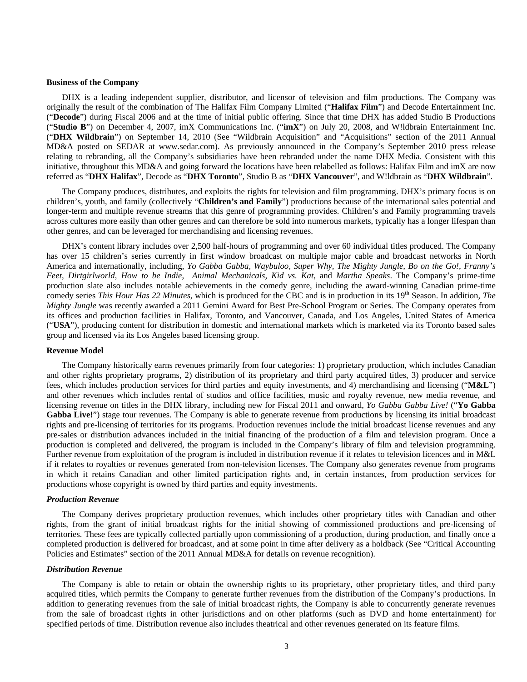#### **Business of the Company**

DHX is a leading independent supplier, distributor, and licensor of television and film productions. The Company was originally the result of the combination of The Halifax Film Company Limited ("**Halifax Film**") and Decode Entertainment Inc. ("**Decode**") during Fiscal 2006 and at the time of initial public offering. Since that time DHX has added Studio B Productions ("**Studio B**") on December 4, 2007, imX Communications Inc. ("**imX**") on July 20, 2008, and W!ldbrain Entertainment Inc. ("**DHX Wildbrain**") on September 14, 2010 (See "Wildbrain Acquisition" and "Acquisitions" section of the 2011 Annual MD&A posted on SEDAR at www.sedar.com). As previously announced in the Company's September 2010 press release relating to rebranding, all the Company's subsidiaries have been rebranded under the name DHX Media. Consistent with this initiative, throughout this MD&A and going forward the locations have been relabelled as follows: Halifax Film and imX are now referred as "**DHX Halifax**", Decode as "**DHX Toronto**", Studio B as "**DHX Vancouver**", and W!ldbrain as "**DHX Wildbrain**".

The Company produces, distributes, and exploits the rights for television and film programming. DHX's primary focus is on children's, youth, and family (collectively "**Children's and Family**") productions because of the international sales potential and longer-term and multiple revenue streams that this genre of programming provides. Children's and Family programming travels across cultures more easily than other genres and can therefore be sold into numerous markets, typically has a longer lifespan than other genres, and can be leveraged for merchandising and licensing revenues.

DHX's content library includes over 2,500 half-hours of programming and over 60 individual titles produced. The Company has over 15 children's series currently in first window broadcast on multiple major cable and broadcast networks in North America and internationally, including, *Yo Gabba Gabba, Waybuloo, Super Why, The Mighty Jungle, Bo on the Go!, Franny's Feet, Dirtgirlworld, How to be Indie, Animal Mechanicals, Kid vs. Kat,* and *Martha Speaks*. The Company's prime-time production slate also includes notable achievements in the comedy genre, including the award-winning Canadian prime-time comedy series *This Hour Has 22 Minutes*, which is produced for the CBC and is in production in its 19<sup>th</sup> Season. In addition, *The Mighty Jungle* was recently awarded a 2011 Gemini Award for Best Pre-School Program or Series. The Company operates from its offices and production facilities in Halifax, Toronto, and Vancouver, Canada, and Los Angeles, United States of America ("**USA**"), producing content for distribution in domestic and international markets which is marketed via its Toronto based sales group and licensed via its Los Angeles based licensing group.

# **Revenue Model**

The Company historically earns revenues primarily from four categories: 1) proprietary production, which includes Canadian and other rights proprietary programs, 2) distribution of its proprietary and third party acquired titles, 3) producer and service fees, which includes production services for third parties and equity investments, and 4) merchandising and licensing ("**M&L**") and other revenues which includes rental of studios and office facilities, music and royalty revenue, new media revenue, and licensing revenue on titles in the DHX library, including new for Fiscal 2011 and onward, *Yo Gabba Gabba Live!* ("**Yo Gabba**  Gabba Live!") stage tour revenues. The Company is able to generate revenue from productions by licensing its initial broadcast rights and pre-licensing of territories for its programs. Production revenues include the initial broadcast license revenues and any pre-sales or distribution advances included in the initial financing of the production of a film and television program. Once a production is completed and delivered, the program is included in the Company's library of film and television programming. Further revenue from exploitation of the program is included in distribution revenue if it relates to television licences and in M&L if it relates to royalties or revenues generated from non-television licenses. The Company also generates revenue from programs in which it retains Canadian and other limited participation rights and, in certain instances, from production services for productions whose copyright is owned by third parties and equity investments.

#### *Production Revenue*

The Company derives proprietary production revenues, which includes other proprietary titles with Canadian and other rights, from the grant of initial broadcast rights for the initial showing of commissioned productions and pre-licensing of territories. These fees are typically collected partially upon commissioning of a production, during production, and finally once a completed production is delivered for broadcast, and at some point in time after delivery as a holdback (See "Critical Accounting Policies and Estimates" section of the 2011 Annual MD&A for details on revenue recognition).

## *Distribution Revenue*

The Company is able to retain or obtain the ownership rights to its proprietary, other proprietary titles, and third party acquired titles, which permits the Company to generate further revenues from the distribution of the Company's productions. In addition to generating revenues from the sale of initial broadcast rights, the Company is able to concurrently generate revenues from the sale of broadcast rights in other jurisdictions and on other platforms (such as DVD and home entertainment) for specified periods of time. Distribution revenue also includes theatrical and other revenues generated on its feature films.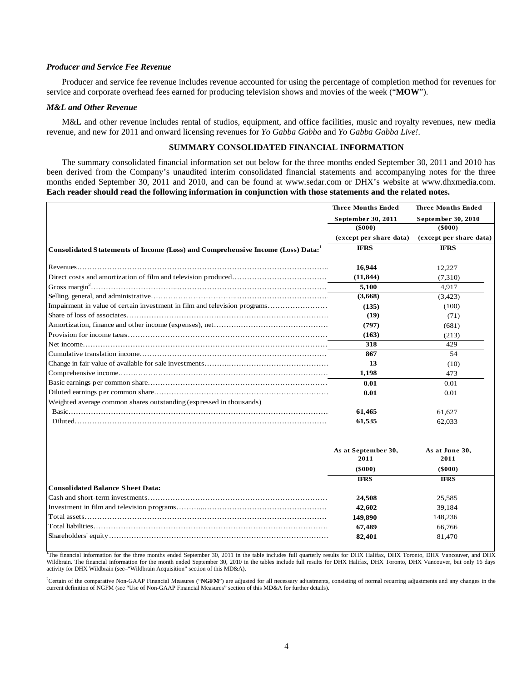## *Producer and Service Fee Revenue*

Producer and service fee revenue includes revenue accounted for using the percentage of completion method for revenues for service and corporate overhead fees earned for producing television shows and movies of the week ("**MOW**").

#### *M&L and Other Revenue*

M&L and other revenue includes rental of studios, equipment, and office facilities, music and royalty revenues, new media revenue, and new for 2011 and onward licensing revenues for *Yo Gabba Gabba* and *Yo Gabba Gabba Live!*.

# **SUMMARY CONSOLIDATED FINANCIAL INFORMATION**

The summary consolidated financial information set out below for the three months ended September 30, 2011 and 2010 has been derived from the Company's unaudited interim consolidated financial statements and accompanying notes for the three months ended September 30, 2011 and 2010, and can be found at www.sedar.com or DHX's website at www.dhxmedia.com. **Each reader should read the following information in conjunction with those statements and the related notes.** 

|                                                                                | <b>Three Months Ended</b>                    | <b>Three Months Ended</b>               |
|--------------------------------------------------------------------------------|----------------------------------------------|-----------------------------------------|
|                                                                                | September 30, 2011                           | September 30, 2010                      |
|                                                                                | $($ \$000 $)$                                | $($ \$000 $)$                           |
|                                                                                | (except per share data)                      | (except per share data)                 |
| Consolidated Statements of Income (Loss) and Comprehensive Income (Loss) Data: | <b>IFRS</b>                                  | <b>IFRS</b>                             |
|                                                                                | 16,944                                       | 12,227                                  |
|                                                                                | (11, 844)                                    | (7,310)                                 |
|                                                                                | 5,100                                        | 4.917                                   |
|                                                                                | (3,668)                                      | (3, 423)                                |
| Impairment in value of certain investment in film and television programs      | (135)                                        | (100)                                   |
|                                                                                | (19)                                         | (71)                                    |
|                                                                                | (797)                                        | (681)                                   |
|                                                                                | (163)                                        | (213)                                   |
|                                                                                | 318                                          | 429                                     |
|                                                                                | 867                                          | 54                                      |
|                                                                                | 13                                           | (10)                                    |
|                                                                                | 1,198                                        | 473                                     |
|                                                                                | 0.01                                         | 0.01                                    |
|                                                                                | 0.01                                         | 0.01                                    |
| Weighted average common shares outstanding (expressed in thousands)            |                                              |                                         |
|                                                                                | 61,465                                       | 61,627                                  |
|                                                                                | 61,535                                       | 62,033                                  |
|                                                                                | As at September 30,<br>2011<br>$($ \$000 $)$ | As at June 30,<br>2011<br>$($ \$000 $)$ |
|                                                                                | <b>IFRS</b>                                  | <b>IFRS</b>                             |
| <b>Consolidated Balance Sheet Data:</b>                                        |                                              |                                         |
|                                                                                | 24,508                                       | 25.585                                  |

|                                                                                                                                                                                        | 42.602  | 39.184  |
|----------------------------------------------------------------------------------------------------------------------------------------------------------------------------------------|---------|---------|
|                                                                                                                                                                                        | 149.890 | 148.236 |
|                                                                                                                                                                                        | 67.489  | 66.766  |
|                                                                                                                                                                                        | 82.401  | 81.470  |
|                                                                                                                                                                                        |         |         |
| <sup>1</sup> The financial information for the three months ended September 30, 2011 in the table includes full quarterly results for DHX Halifax, DHX Toronto, DHX Vancouver, and DHX |         |         |

Wildbrain. The financial information for the month ended September 30, 2010 in the tables include full results for DHX Halifax, DHX Toronto, DHX Vancouver, but only 16 days activity for DHX Wildbrain (see–"Wildbrain Acquisition" section of this MD&A).

<sup>2</sup>Certain of the comparative Non-GAAP Financial Measures ("NGFM") are adjusted for all necessary adjustments, consisting of normal recurring adjustments and any changes in the current definition of NGFM (see "Use of Non-GAAP Financial Measures" section of this MD&A for further details).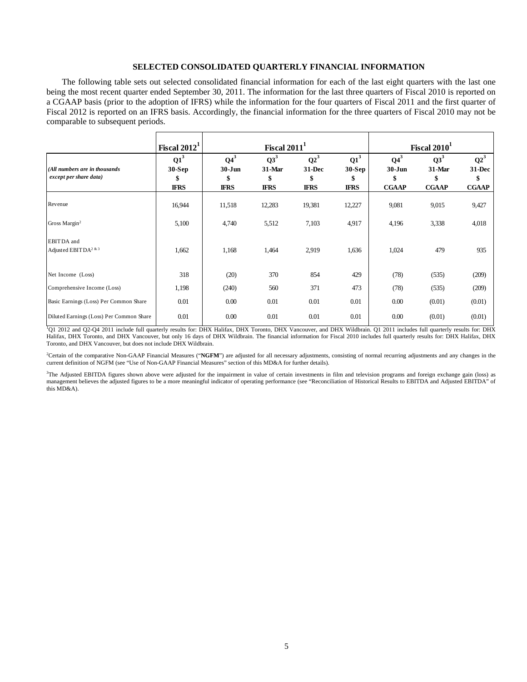# **SELECTED CONSOLIDATED QUARTERLY FINANCIAL INFORMATION**

The following table sets out selected consolidated financial information for each of the last eight quarters with the last one being the most recent quarter ended September 30, 2011. The information for the last three quarters of Fiscal 2010 is reported on a CGAAP basis (prior to the adoption of IFRS) while the information for the four quarters of Fiscal 2011 and the first quarter of Fiscal 2012 is reported on an IFRS basis. Accordingly, the financial information for the three quarters of Fiscal 2010 may not be comparable to subsequent periods.

|                                                         | Fiscal $2012^1$                         |                                           | Fiscal $2011^1$                          |                                         |                                         |                                            | Fiscal 2010 <sup>1</sup>                 |                                        |
|---------------------------------------------------------|-----------------------------------------|-------------------------------------------|------------------------------------------|-----------------------------------------|-----------------------------------------|--------------------------------------------|------------------------------------------|----------------------------------------|
| (All numbers are in thousands<br>except per share data) | $Q1^3$<br>$30-Sep$<br>\$<br><b>IFRS</b> | $Q4^3$<br>$30 - Jun$<br>\$<br><b>IFRS</b> | $Q3^3$<br>$31$ -Mar<br>\$<br><b>IFRS</b> | $Q2^3$<br>$31-Dec$<br>\$<br><b>IFRS</b> | $Q1^3$<br>$30-Sep$<br>\$<br><b>IFRS</b> | $Q4^3$<br>$30 - Jun$<br>\$<br><b>CGAAP</b> | $Q3^3$<br>$31$ -Mar<br>S<br><b>CGAAP</b> | $Q2^3$<br>31-Dec<br>\$<br><b>CGAAP</b> |
| Revenue                                                 | 16,944                                  | 11,518                                    | 12,283                                   | 19,381                                  | 12,227                                  | 9,081                                      | 9,015                                    | 9,427                                  |
| Gross Margin <sup>2</sup>                               | 5,100                                   | 4,740                                     | 5,512                                    | 7,103                                   | 4,917                                   | 4,196                                      | 3,338                                    | 4,018                                  |
| EBITDA and<br>Adjusted EBITDA <sup>2 &amp; 3</sup>      | 1,662                                   | 1,168                                     | 1,464                                    | 2,919                                   | 1,636                                   | 1,024                                      | 479                                      | 935                                    |
| Net Income (Loss)                                       | 318                                     | (20)                                      | 370                                      | 854                                     | 429                                     | (78)                                       | (535)                                    | (209)                                  |
| Comprehensive Income (Loss)                             | 1,198                                   | (240)                                     | 560                                      | 371                                     | 473                                     | (78)                                       | (535)                                    | (209)                                  |
| Basic Earnings (Loss) Per Common Share                  | 0.01                                    | 0.00                                      | 0.01                                     | 0.01                                    | 0.01                                    | 0.00                                       | (0.01)                                   | (0.01)                                 |
| Diluted Earnings (Loss) Per Common Share                | 0.01                                    | 0.00                                      | 0.01                                     | 0.01                                    | 0.01                                    | 0.00                                       | (0.01)                                   | (0.01)                                 |

1 Q1 2012 and Q2-Q4 2011 include full quarterly results for: DHX Halifax, DHX Toronto, DHX Vancouver, and DHX Wildbrain. Q1 2011 includes full quarterly results for: DHX Halifax, DHX Toronto, and DHX Vancouver, but only 16 days of DHX Wildbrain. The financial information for Fiscal 2010 includes full quarterly results for: DHX Halifax, DHX Toronto, and DHX Vancouver, but does not include DHX Wildbrain.

<sup>2</sup>Certain of the comparative Non-GAAP Financial Measures ("NGFM") are adjusted for all necessary adjustments, consisting of normal recurring adjustments and any changes in the current definition of NGFM (see "Use of Non-GAAP Financial Measures" section of this MD&A for further details).

<sup>3</sup>The Adjusted EBITDA figures shown above were adjusted for the impairment in value of certain investments in film and television programs and foreign exchange gain (loss) as management believes the adjusted figures to be a more meaningful indicator of operating performance (see "Reconciliation of Historical Results to EBITDA and Adjusted EBITDA" of this MD&A).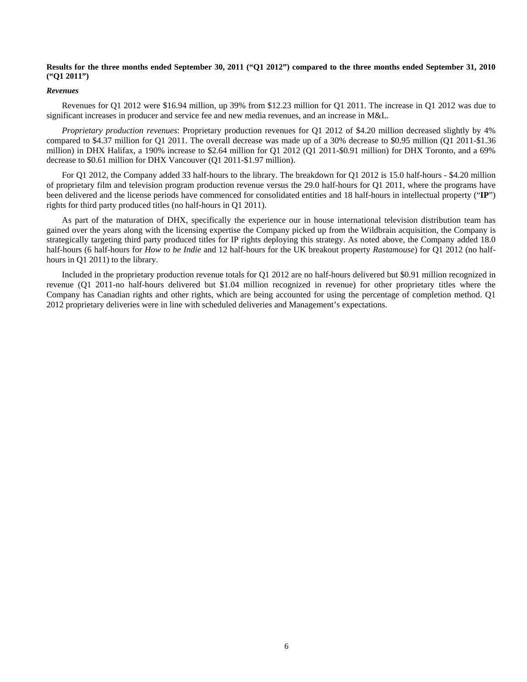# **Results for the three months ended September 30, 2011 ("Q1 2012") compared to the three months ended September 31, 2010 ("Q1 2011")**

#### *Revenues*

Revenues for Q1 2012 were \$16.94 million, up 39% from \$12.23 million for Q1 2011. The increase in Q1 2012 was due to significant increases in producer and service fee and new media revenues, and an increase in M&L.

*Proprietary production revenues*: Proprietary production revenues for Q1 2012 of \$4.20 million decreased slightly by 4% compared to \$4.37 million for Q1 2011. The overall decrease was made up of a 30% decrease to \$0.95 million (Q1 2011-\$1.36 million) in DHX Halifax, a 190% increase to \$2.64 million for Q1 2012 (Q1 2011-\$0.91 million) for DHX Toronto, and a 69% decrease to \$0.61 million for DHX Vancouver (Q1 2011-\$1.97 million).

For Q1 2012, the Company added 33 half-hours to the library. The breakdown for Q1 2012 is 15.0 half-hours - \$4.20 million of proprietary film and television program production revenue versus the 29.0 half-hours for Q1 2011, where the programs have been delivered and the license periods have commenced for consolidated entities and 18 half-hours in intellectual property ("**IP**") rights for third party produced titles (no half-hours in Q1 2011).

As part of the maturation of DHX, specifically the experience our in house international television distribution team has gained over the years along with the licensing expertise the Company picked up from the Wildbrain acquisition, the Company is strategically targeting third party produced titles for IP rights deploying this strategy. As noted above, the Company added 18.0 half-hours (6 half-hours for *How to be Indie* and 12 half-hours for the UK breakout property *Rastamouse*) for Q1 2012 (no halfhours in Q1 2011) to the library.

Included in the proprietary production revenue totals for Q1 2012 are no half-hours delivered but \$0.91 million recognized in revenue (Q1 2011-no half-hours delivered but \$1.04 million recognized in revenue) for other proprietary titles where the Company has Canadian rights and other rights, which are being accounted for using the percentage of completion method. Q1 2012 proprietary deliveries were in line with scheduled deliveries and Management's expectations.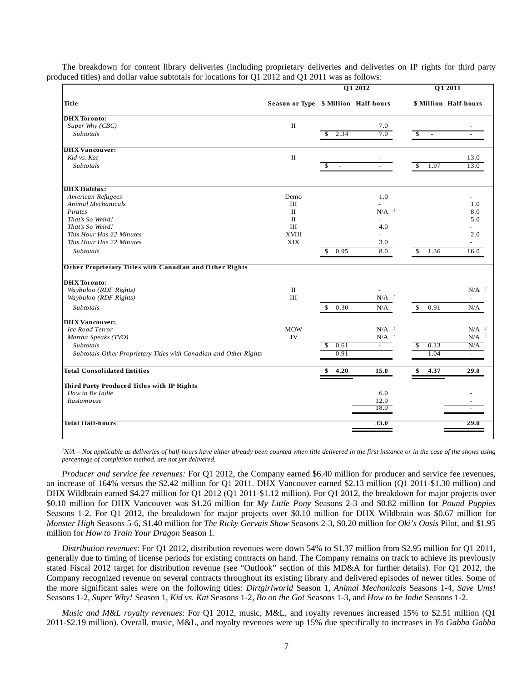|                                                                   |                                      |                                | Q1 2012                         | Q1 2011               |                                 |  |
|-------------------------------------------------------------------|--------------------------------------|--------------------------------|---------------------------------|-----------------------|---------------------------------|--|
| Title                                                             | Season or Type \$ Million Half-hours |                                |                                 | \$ Million Half-hours |                                 |  |
| <b>DHX</b> Toronto:                                               |                                      |                                |                                 |                       |                                 |  |
| Super Why (CBC)                                                   | $\rm II$                             |                                | 7.0                             |                       |                                 |  |
| <i>Subtotals</i>                                                  |                                      | 2.34                           | 7.0                             | \$                    |                                 |  |
| <b>DHX</b> Vancouver:                                             |                                      |                                |                                 |                       |                                 |  |
| Kid vs. Kat                                                       | $\rm II$                             |                                |                                 |                       | 13.0                            |  |
| Subtotals                                                         |                                      | \$<br>$\overline{\phantom{a}}$ | $\overline{\phantom{a}}$        | 1.97<br>\$            | 13.0                            |  |
| <b>DHX</b> Halifax:                                               |                                      |                                |                                 |                       |                                 |  |
| American Refugees                                                 | Demo                                 |                                | 1.0                             |                       |                                 |  |
| <b>Animal Mechanicals</b>                                         | $\rm III$                            |                                |                                 |                       | 1.0                             |  |
| Pirates                                                           | $_{\rm II}$                          |                                | $N/A$ <sup><math>1</math></sup> |                       | 8.0                             |  |
| That's So Weird!                                                  | $\rm II$                             |                                | $\overline{a}$                  |                       | 5.0                             |  |
| That's So Weird!                                                  | $\rm III$                            |                                | 4.0                             |                       |                                 |  |
| This Hour Has 22 Minutes                                          | <b>XVIII</b>                         |                                |                                 |                       | 2.0                             |  |
| This Hour Has 22 Minutes                                          | XIX                                  |                                | 3.0                             |                       | $\overline{\phantom{a}}$        |  |
| Subtotals                                                         |                                      | 0.95<br>\$                     | 8.0                             | \$<br>1.36            | 16.0                            |  |
| Other Proprietary Titles with Canadian and Other Rights           |                                      |                                |                                 |                       |                                 |  |
| <b>DHX</b> Toronto:                                               |                                      |                                |                                 |                       |                                 |  |
| Waybuloo (RDF Rights)                                             | $\rm II$                             |                                |                                 |                       | $N/A$ <sup><math>1</math></sup> |  |
| Waybuloo (RDF Rights)                                             | $\rm III$                            |                                | $N/A$ <sup><math>I</math></sup> |                       | $\sim$                          |  |
| <b>Subtotals</b>                                                  |                                      | 0.30<br>\$                     | N/A                             | \$<br>0.91            | N/A                             |  |
| <b>DHX</b> Vancouver:                                             |                                      |                                |                                 |                       |                                 |  |
| Ice Road Terror                                                   | <b>MOW</b>                           |                                | $N/A$ <sup><math>I</math></sup> |                       | $N/A$ <sup><math>I</math></sup> |  |
| Martha Speaks (TVO)                                               | IV                                   |                                | $N/A$ <sup><math>I</math></sup> |                       | $N/A$ <sup><math>I</math></sup> |  |
| Subtotals                                                         |                                      | 0.61<br>S                      | $\overline{\phantom{a}}$        | 0.13<br>\$            | N/A                             |  |
| Subtotals-Other Proprietary Titles with Canadian and Other Rights |                                      | 0.91                           | $\overline{\phantom{a}}$        | 1.04                  | $\mathcal{L}_{\mathcal{A}}$     |  |
| <b>Total Consolidated Entities</b>                                |                                      | 4.20<br>S                      | 15.0                            | 4.37<br>S             | 29.0                            |  |
| Third Party Produced Titles with IP Rights                        |                                      |                                |                                 |                       |                                 |  |
| How to Be Indie                                                   |                                      |                                | 6.0                             |                       |                                 |  |
| Rastam ouse                                                       |                                      |                                | 12.0<br>18.0                    |                       |                                 |  |
| <b>Total Half-hours</b>                                           |                                      |                                | 33.0                            |                       | 29.0                            |  |
|                                                                   |                                      |                                |                                 |                       |                                 |  |

The breakdown for content library deliveries (including proprietary deliveries and deliveries on IP rights for third party produced titles) and dollar value subtotals for locations for  $\overrightarrow{O1}$  2012 and  $\overrightarrow{O1}$  2011 was as follows:

<sup>*IN/A – Not applicable as deliveries of half-hours have either already been counted when title delivered in the first instance or in the case of the shows using</sup> percentage of completion method, are not yet delivered*.

*Producer and service fee revenues:* For Q1 2012, the Company earned \$6.40 million for producer and service fee revenues, an increase of 164% versus the \$2.42 million for Q1 2011. DHX Vancouver earned \$2.13 million (Q1 2011-\$1.30 million) and DHX Wildbrain earned \$4.27 million for Q1 2012 (Q1 2011-\$1.12 million). For Q1 2012, the breakdown for major projects over \$0.10 million for DHX Vancouver was \$1.26 million for *My Little Pony* Seasons 2-3 and \$0.82 million for *Pound Puppies* Seasons 1-2. For Q1 2012, the breakdown for major projects over \$0.10 million for DHX Wildbrain was \$0.67 million for *Monster High* Seasons 5-6, \$1.40 million for *The Ricky Gervais Show* Seasons 2-3, \$0.20 million for *Oki's Oasis* Pilot, and \$1.95 million for *How to Train Your Dragon* Season 1.

*Distribution revenues*: For Q1 2012, distribution revenues were down 54% to \$1.37 million from \$2.95 million for Q1 2011, generally due to timing of license periods for existing contracts on hand. The Company remains on track to achieve its previously stated Fiscal 2012 target for distribution revenue (see "Outlook" section of this MD&A for further details). For Q1 2012, the Company recognized revenue on several contracts throughout its existing library and delivered episodes of newer titles. Some of the more significant sales were on the following titles: *Dirtgirlworld* Season 1, *Animal Mechanicals* Seasons 1-4, *Save Ums!* Seasons 1-2, *Super Why!* Season 1, *Kid vs. Kat* Seasons 1-2, *Bo on the Go!* Seasons 1-3, and *How to be Indie* Seasons 1-2.

*Music and M&L royalty revenues*: For Q1 2012, music, M&L, and royalty revenues increased 15% to \$2.51 million (Q1 2011-\$2.19 million). Overall, music, M&L, and royalty revenues were up 15% due specifically to increases in *Yo Gabba Gabba*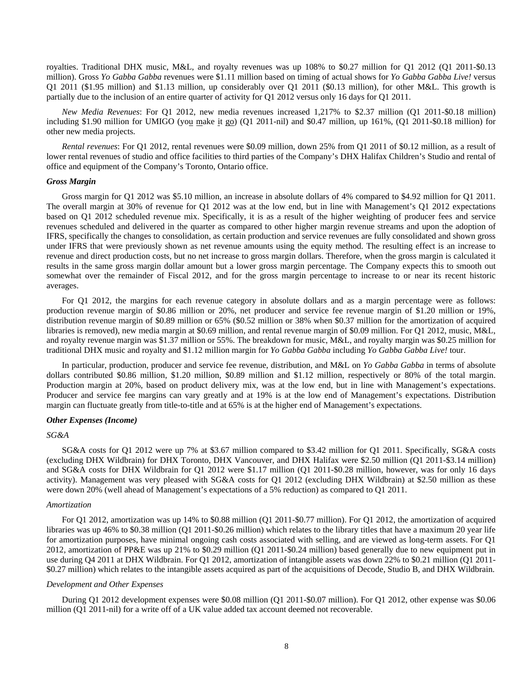royalties. Traditional DHX music, M&L, and royalty revenues was up 108% to \$0.27 million for Q1 2012 (Q1 2011-\$0.13 million). Gross *Yo Gabba Gabba* revenues were \$1.11 million based on timing of actual shows for *Yo Gabba Gabba Live!* versus Q1 2011 (\$1.95 million) and \$1.13 million, up considerably over Q1 2011 (\$0.13 million), for other M&L. This growth is partially due to the inclusion of an entire quarter of activity for Q1 2012 versus only 16 days for Q1 2011.

*New Media Revenues*: For Q1 2012, new media revenues increased 1,217% to \$2.37 million (Q1 2011-\$0.18 million) including \$1.90 million for UMIGO (you make it go) (Q1 2011-nil) and \$0.47 million, up 161%, (Q1 2011-\$0.18 million) for other new media projects.

*Rental revenues*: For Q1 2012, rental revenues were \$0.09 million, down 25% from Q1 2011 of \$0.12 million, as a result of lower rental revenues of studio and office facilities to third parties of the Company's DHX Halifax Children's Studio and rental of office and equipment of the Company's Toronto, Ontario office.

#### *Gross Margin*

Gross margin for Q1 2012 was \$5.10 million, an increase in absolute dollars of 4% compared to \$4.92 million for Q1 2011. The overall margin at 30% of revenue for Q1 2012 was at the low end, but in line with Management's Q1 2012 expectations based on Q1 2012 scheduled revenue mix. Specifically, it is as a result of the higher weighting of producer fees and service revenues scheduled and delivered in the quarter as compared to other higher margin revenue streams and upon the adoption of IFRS, specifically the changes to consolidation, as certain production and service revenues are fully consolidated and shown gross under IFRS that were previously shown as net revenue amounts using the equity method. The resulting effect is an increase to revenue and direct production costs, but no net increase to gross margin dollars. Therefore, when the gross margin is calculated it results in the same gross margin dollar amount but a lower gross margin percentage. The Company expects this to smooth out somewhat over the remainder of Fiscal 2012, and for the gross margin percentage to increase to or near its recent historic averages.

For Q1 2012, the margins for each revenue category in absolute dollars and as a margin percentage were as follows: production revenue margin of \$0.86 million or 20%, net producer and service fee revenue margin of \$1.20 million or 19%, distribution revenue margin of \$0.89 million or 65% (\$0.52 million or 38% when \$0.37 million for the amortization of acquired libraries is removed), new media margin at \$0.69 million, and rental revenue margin of \$0.09 million. For Q1 2012, music, M&L, and royalty revenue margin was \$1.37 million or 55%. The breakdown for music, M&L, and royalty margin was \$0.25 million for traditional DHX music and royalty and \$1.12 million margin for *Yo Gabba Gabba* including *Yo Gabba Gabba Live!* tour.

In particular, production, producer and service fee revenue, distribution, and M&L on *Yo Gabba Gabba* in terms of absolute dollars contributed \$0.86 million, \$1.20 million, \$0.89 million and \$1.12 million, respectively or 80% of the total margin. Production margin at 20%, based on product delivery mix, was at the low end, but in line with Management's expectations. Producer and service fee margins can vary greatly and at 19% is at the low end of Management's expectations. Distribution margin can fluctuate greatly from title-to-title and at 65% is at the higher end of Management's expectations.

#### *Other Expenses (Income)*

#### *SG&A*

SG&A costs for Q1 2012 were up 7% at \$3.67 million compared to \$3.42 million for Q1 2011. Specifically, SG&A costs (excluding DHX Wildbrain) for DHX Toronto, DHX Vancouver, and DHX Halifax were \$2.50 million (Q1 2011-\$3.14 million) and SG&A costs for DHX Wildbrain for Q1 2012 were \$1.17 million (Q1 2011-\$0.28 million, however, was for only 16 days activity). Management was very pleased with SG&A costs for Q1 2012 (excluding DHX Wildbrain) at \$2.50 million as these were down 20% (well ahead of Management's expectations of a 5% reduction) as compared to Q1 2011.

#### *Amortization*

For Q1 2012, amortization was up 14% to \$0.88 million (Q1 2011-\$0.77 million). For Q1 2012, the amortization of acquired libraries was up 46% to \$0.38 million (Q1 2011-\$0.26 million) which relates to the library titles that have a maximum 20 year life for amortization purposes, have minimal ongoing cash costs associated with selling, and are viewed as long-term assets. For Q1 2012, amortization of PP&E was up 21% to \$0.29 million (Q1 2011-\$0.24 million) based generally due to new equipment put in use during Q4 2011 at DHX Wildbrain. For Q1 2012, amortization of intangible assets was down 22% to \$0.21 million (Q1 2011- \$0.27 million) which relates to the intangible assets acquired as part of the acquisitions of Decode, Studio B, and DHX Wildbrain.

#### *Development and Other Expenses*

During Q1 2012 development expenses were \$0.08 million (Q1 2011-\$0.07 million). For Q1 2012, other expense was \$0.06 million (Q1 2011-nil) for a write off of a UK value added tax account deemed not recoverable.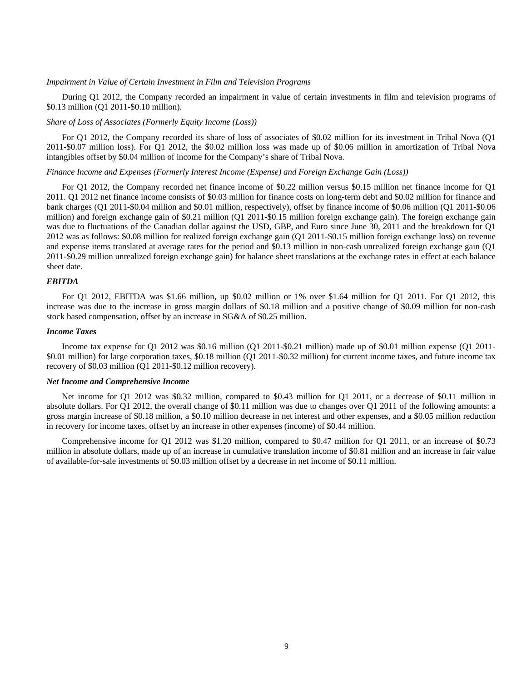#### *Impairment in Value of Certain Investment in Film and Television Programs*

During Q1 2012, the Company recorded an impairment in value of certain investments in film and television programs of \$0.13 million (Q1 2011-\$0.10 million).

## *Share of Loss of Associates (Formerly Equity Income (Loss))*

For Q1 2012, the Company recorded its share of loss of associates of \$0.02 million for its investment in Tribal Nova (Q1 2011-\$0.07 million loss). For Q1 2012, the \$0.02 million loss was made up of \$0.06 million in amortization of Tribal Nova intangibles offset by \$0.04 million of income for the Company's share of Tribal Nova.

#### *Finance Income and Expenses (Formerly Interest Income (Expense) and Foreign Exchange Gain (Loss))*

For Q1 2012, the Company recorded net finance income of \$0.22 million versus \$0.15 million net finance income for Q1 2011. Q1 2012 net finance income consists of \$0.03 million for finance costs on long-term debt and \$0.02 million for finance and bank charges (Q1 2011-\$0.04 million and \$0.01 million, respectively), offset by finance income of \$0.06 million (Q1 2011-\$0.06 million) and foreign exchange gain of \$0.21 million (Q1 2011-\$0.15 million foreign exchange gain). The foreign exchange gain was due to fluctuations of the Canadian dollar against the USD, GBP, and Euro since June 30, 2011 and the breakdown for Q1 2012 was as follows: \$0.08 million for realized foreign exchange gain (Q1 2011-\$0.15 million foreign exchange loss) on revenue and expense items translated at average rates for the period and \$0.13 million in non-cash unrealized foreign exchange gain (Q1 2011-\$0.29 million unrealized foreign exchange gain) for balance sheet translations at the exchange rates in effect at each balance sheet date.

#### *EBITDA*

For Q1 2012, EBITDA was \$1.66 million, up \$0.02 million or 1% over \$1.64 million for Q1 2011. For Q1 2012, this increase was due to the increase in gross margin dollars of \$0.18 million and a positive change of \$0.09 million for non-cash stock based compensation, offset by an increase in SG&A of \$0.25 million.

#### *Income Taxes*

Income tax expense for Q1 2012 was \$0.16 million (Q1 2011-\$0.21 million) made up of \$0.01 million expense (Q1 2011- \$0.01 million) for large corporation taxes, \$0.18 million (Q1 2011-\$0.32 million) for current income taxes, and future income tax recovery of \$0.03 million (Q1 2011-\$0.12 million recovery).

#### *Net Income and Comprehensive Income*

Net income for Q1 2012 was \$0.32 million, compared to \$0.43 million for Q1 2011, or a decrease of \$0.11 million in absolute dollars. For Q1 2012, the overall change of \$0.11 million was due to changes over Q1 2011 of the following amounts: a gross margin increase of \$0.18 million, a \$0.10 million decrease in net interest and other expenses, and a \$0.05 million reduction in recovery for income taxes, offset by an increase in other expenses (income) of \$0.44 million.

Comprehensive income for Q1 2012 was \$1.20 million, compared to \$0.47 million for Q1 2011, or an increase of \$0.73 million in absolute dollars, made up of an increase in cumulative translation income of \$0.81 million and an increase in fair value of available-for-sale investments of \$0.03 million offset by a decrease in net income of \$0.11 million.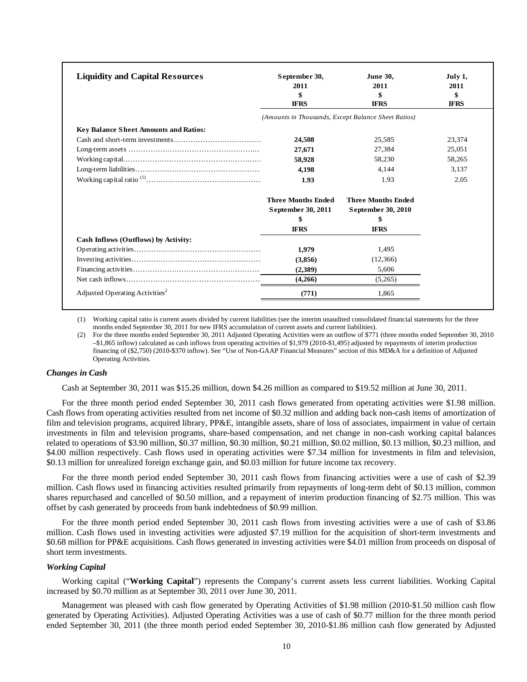| <b>Liquidity and Capital Resources</b>       | September 30,<br>2011<br>\$<br><b>IFRS</b>          | <b>June 30.</b><br>2011<br>\$<br><b>IFRS</b>    | July 1,<br>2011<br>\$<br><b>IFRS</b> |
|----------------------------------------------|-----------------------------------------------------|-------------------------------------------------|--------------------------------------|
|                                              | (Amounts in Thousands, Except Balance Sheet Ratios) |                                                 |                                      |
| <b>Key Balance Sheet Amounts and Ratios:</b> |                                                     |                                                 |                                      |
|                                              | 24,508                                              | 25,585                                          | 23,374                               |
|                                              | 27,671                                              | 27,384                                          | 25,051                               |
|                                              | 58,928                                              | 58,230                                          | 58,265                               |
|                                              | 4.198                                               | 4.144                                           | 3.137                                |
|                                              | 1.93                                                | 1.93                                            | 2.05                                 |
|                                              | <b>Three Months Ended</b><br>September 30, 2011     | <b>Three Months Ended</b><br>September 30, 2010 |                                      |
|                                              | \$                                                  | \$                                              |                                      |
|                                              | <b>IFRS</b>                                         | <b>IFRS</b>                                     |                                      |
| Cash Inflows (Outflows) by Activity:         |                                                     |                                                 |                                      |
|                                              | 1,979                                               | 1,495                                           |                                      |
|                                              | (3,856)                                             | (12,366)                                        |                                      |
|                                              | (2,389)                                             | 5,606                                           |                                      |
|                                              | (4,266)                                             | (5,265)                                         |                                      |
| Adjusted Operating Activities <sup>2</sup>   | (771)                                               | 1,865                                           |                                      |

(1) Working capital ratio is current assets divided by current liabilities (see the interim unaudited consolidated financial statements for the three months ended September 30, 2011 for new IFRS accumulation of current assets and current liabilities).

(2) For the three months ended September 30, 2011 Adjusted Operating Activities were an outflow of \$771 (three months ended September 30, 2010 –\$1,865 inflow) calculated as cash inflows from operating activities of \$1,979 (2010-\$1,495) adjusted by repayments of interim production financing of (\$2,750) (2010-\$370 inflow). See "Use of Non-GAAP Financial Measures" section of this MD&A for a definition of Adjusted Operating Activities.

#### *Changes in Cash*

Cash at September 30, 2011 was \$15.26 million, down \$4.26 million as compared to \$19.52 million at June 30, 2011.

For the three month period ended September 30, 2011 cash flows generated from operating activities were \$1.98 million. Cash flows from operating activities resulted from net income of \$0.32 million and adding back non-cash items of amortization of film and television programs, acquired library, PP&E, intangible assets, share of loss of associates, impairment in value of certain investments in film and television programs, share-based compensation, and net change in non-cash working capital balances related to operations of \$3.90 million, \$0.37 million, \$0.30 million, \$0.21 million, \$0.02 million, \$0.13 million, \$0.23 million, and \$4.00 million respectively. Cash flows used in operating activities were \$7.34 million for investments in film and television, \$0.13 million for unrealized foreign exchange gain, and \$0.03 million for future income tax recovery.

For the three month period ended September 30, 2011 cash flows from financing activities were a use of cash of \$2.39 million. Cash flows used in financing activities resulted primarily from repayments of long-term debt of \$0.13 million, common shares repurchased and cancelled of \$0.50 million, and a repayment of interim production financing of \$2.75 million. This was offset by cash generated by proceeds from bank indebtedness of \$0.99 million.

For the three month period ended September 30, 2011 cash flows from investing activities were a use of cash of \$3.86 million. Cash flows used in investing activities were adjusted \$7.19 million for the acquisition of short-term investments and \$0.68 million for PP&E acquisitions. Cash flows generated in investing activities were \$4.01 million from proceeds on disposal of short term investments.

#### *Working Capital*

Working capital ("**Working Capital**") represents the Company's current assets less current liabilities. Working Capital increased by \$0.70 million as at September 30, 2011 over June 30, 2011.

Management was pleased with cash flow generated by Operating Activities of \$1.98 million (2010-\$1.50 million cash flow generated by Operating Activities). Adjusted Operating Activities was a use of cash of \$0.77 million for the three month period ended September 30, 2011 (the three month period ended September 30, 2010-\$1.86 million cash flow generated by Adjusted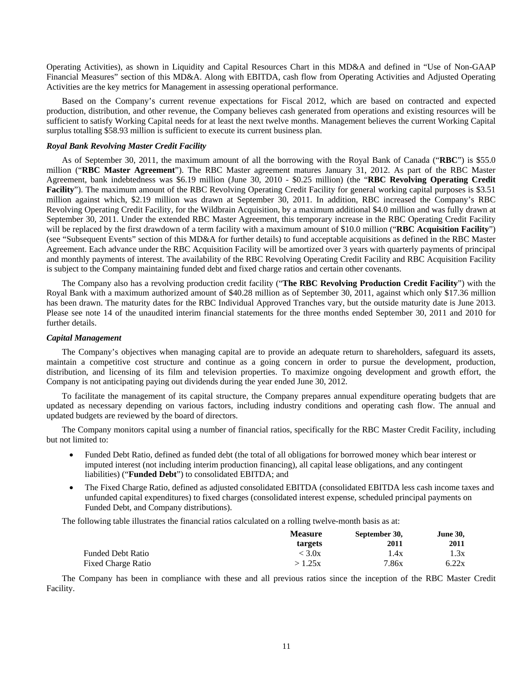Operating Activities), as shown in Liquidity and Capital Resources Chart in this MD&A and defined in "Use of Non-GAAP Financial Measures" section of this MD&A. Along with EBITDA, cash flow from Operating Activities and Adjusted Operating Activities are the key metrics for Management in assessing operational performance.

Based on the Company's current revenue expectations for Fiscal 2012, which are based on contracted and expected production, distribution, and other revenue, the Company believes cash generated from operations and existing resources will be sufficient to satisfy Working Capital needs for at least the next twelve months. Management believes the current Working Capital surplus totalling \$58.93 million is sufficient to execute its current business plan.

#### *Royal Bank Revolving Master Credit Facility*

As of September 30, 2011, the maximum amount of all the borrowing with the Royal Bank of Canada ("**RBC**") is \$55.0 million ("**RBC Master Agreement**"). The RBC Master agreement matures January 31, 2012. As part of the RBC Master Agreement, bank indebtedness was \$6.19 million (June 30, 2010 - \$0.25 million) (the "**RBC Revolving Operating Credit Facility**"). The maximum amount of the RBC Revolving Operating Credit Facility for general working capital purposes is \$3.51 million against which, \$2.19 million was drawn at September 30, 2011. In addition, RBC increased the Company's RBC Revolving Operating Credit Facility, for the Wildbrain Acquisition, by a maximum additional \$4.0 million and was fully drawn at September 30, 2011. Under the extended RBC Master Agreement, this temporary increase in the RBC Operating Credit Facility will be replaced by the first drawdown of a term facility with a maximum amount of \$10.0 million ("**RBC Acquisition Facility**") (see "Subsequent Events" section of this MD&A for further details) to fund acceptable acquisitions as defined in the RBC Master Agreement. Each advance under the RBC Acquisition Facility will be amortized over 3 years with quarterly payments of principal and monthly payments of interest. The availability of the RBC Revolving Operating Credit Facility and RBC Acquisition Facility is subject to the Company maintaining funded debt and fixed charge ratios and certain other covenants.

The Company also has a revolving production credit facility ("**The RBC Revolving Production Credit Facility**") with the Royal Bank with a maximum authorized amount of \$40.28 million as of September 30, 2011, against which only \$17.36 million has been drawn. The maturity dates for the RBC Individual Approved Tranches vary, but the outside maturity date is June 2013. Please see note 14 of the unaudited interim financial statements for the three months ended September 30, 2011 and 2010 for further details.

#### *Capital Management*

The Company's objectives when managing capital are to provide an adequate return to shareholders, safeguard its assets, maintain a competitive cost structure and continue as a going concern in order to pursue the development, production, distribution, and licensing of its film and television properties. To maximize ongoing development and growth effort, the Company is not anticipating paying out dividends during the year ended June 30, 2012.

To facilitate the management of its capital structure, the Company prepares annual expenditure operating budgets that are updated as necessary depending on various factors, including industry conditions and operating cash flow. The annual and updated budgets are reviewed by the board of directors.

The Company monitors capital using a number of financial ratios, specifically for the RBC Master Credit Facility, including but not limited to:

- Funded Debt Ratio, defined as funded debt (the total of all obligations for borrowed money which bear interest or imputed interest (not including interim production financing), all capital lease obligations, and any contingent liabilities) ("**Funded Debt**") to consolidated EBITDA; and
- The Fixed Charge Ratio, defined as adjusted consolidated EBITDA (consolidated EBITDA less cash income taxes and unfunded capital expenditures) to fixed charges (consolidated interest expense, scheduled principal payments on Funded Debt, and Company distributions).

The following table illustrates the financial ratios calculated on a rolling twelve-month basis as at:

|                    | <b>Measure</b> | September 30, | <b>June 30,</b> |
|--------------------|----------------|---------------|-----------------|
|                    | targets        | <b>2011</b>   | 2011            |
| Funded Debt Ratio  | < 3.0x         | 1.4x          | 1.3x            |
| Fixed Charge Ratio | >1.25x         | 7.86x         | 6.22x           |

The Company has been in compliance with these and all previous ratios since the inception of the RBC Master Credit Facility.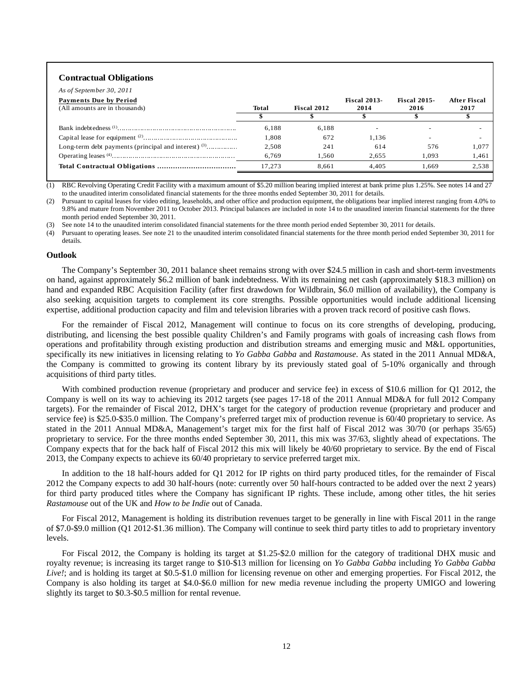#### **Contractual Obligations**

| <b>Payments Due by Period</b><br>(All amounts are in thousands) | <b>Total</b> | Fiscal 2012 | <b>Fiscal 2013-</b><br>2014 | <b>Fiscal 2015-</b><br>2016 | After Fiscal<br>2017 |
|-----------------------------------------------------------------|--------------|-------------|-----------------------------|-----------------------------|----------------------|
|                                                                 |              |             |                             |                             |                      |
|                                                                 | 6.188        | 6.188       |                             |                             |                      |
|                                                                 | 1.808        | 672         | 1.136                       |                             |                      |
| Long-term debt payments (principal and interest) $(3)$          | 2.508        | 241         | 614                         | 576                         | 1.077                |
|                                                                 | 6.769        | 1.560       | 2.655                       | 1.093                       | 1.461                |
|                                                                 | 17.273       | 8.661       | 4.405                       | 1.669                       | 2.538                |

(1) RBC Revolving Operating Credit Facility with a maximum amount of \$5.20 million bearing implied interest at bank prime plus 1.25%. See notes 14 and 27 to the unaudited interim consolidated financial statements for the three months ended September 30, 2011 for details.

(2) Pursuant to capital leases for video editing, leaseholds, and other office and production equipment, the obligations bear implied interest ranging from 4.0% to 9.8% and mature from November 2011 to October 2013. Principal balances are included in note 14 to the unaudited interim financial statements for the three month period ended September 30, 2011.

(3) See note 14 to the unaudited interim consolidated financial statements for the three month period ended September 30, 2011 for details.

Pursuant to operating leases. See note 21 to the unaudited interim consolidated financial statements for the three month period ended September 30, 2011 for details.

#### **Outlook**

The Company's September 30, 2011 balance sheet remains strong with over \$24.5 million in cash and short-term investments on hand, against approximately \$6.2 million of bank indebtedness. With its remaining net cash (approximately \$18.3 million) on hand and expanded RBC Acquisition Facility (after first drawdown for Wildbrain, \$6.0 million of availability), the Company is also seeking acquisition targets to complement its core strengths. Possible opportunities would include additional licensing expertise, additional production capacity and film and television libraries with a proven track record of positive cash flows.

For the remainder of Fiscal 2012, Management will continue to focus on its core strengths of developing, producing, distributing, and licensing the best possible quality Children's and Family programs with goals of increasing cash flows from operations and profitability through existing production and distribution streams and emerging music and M&L opportunities, specifically its new initiatives in licensing relating to *Yo Gabba Gabba* and *Rastamouse*. As stated in the 2011 Annual MD&A, the Company is committed to growing its content library by its previously stated goal of 5-10% organically and through acquisitions of third party titles.

With combined production revenue (proprietary and producer and service fee) in excess of \$10.6 million for Q1 2012, the Company is well on its way to achieving its 2012 targets (see pages 17-18 of the 2011 Annual MD&A for full 2012 Company targets). For the remainder of Fiscal 2012, DHX's target for the category of production revenue (proprietary and producer and service fee) is \$25.0-\$35.0 million. The Company's preferred target mix of production revenue is 60/40 proprietary to service. As stated in the 2011 Annual MD&A, Management's target mix for the first half of Fiscal 2012 was 30/70 (or perhaps 35/65) proprietary to service. For the three months ended September 30, 2011, this mix was 37/63, slightly ahead of expectations. The Company expects that for the back half of Fiscal 2012 this mix will likely be 40/60 proprietary to service. By the end of Fiscal 2013, the Company expects to achieve its 60/40 proprietary to service preferred target mix.

In addition to the 18 half-hours added for Q1 2012 for IP rights on third party produced titles, for the remainder of Fiscal 2012 the Company expects to add 30 half-hours (note: currently over 50 half-hours contracted to be added over the next 2 years) for third party produced titles where the Company has significant IP rights. These include, among other titles, the hit series *Rastamouse* out of the UK and *How to be Indie* out of Canada.

For Fiscal 2012, Management is holding its distribution revenues target to be generally in line with Fiscal 2011 in the range of \$7.0-\$9.0 million (Q1 2012-\$1.36 million). The Company will continue to seek third party titles to add to proprietary inventory levels.

For Fiscal 2012, the Company is holding its target at \$1.25-\$2.0 million for the category of traditional DHX music and royalty revenue; is increasing its target range to \$10-\$13 million for licensing on *Yo Gabba Gabba* including *Yo Gabba Gabba Live!*; and is holding its target at \$0.5-\$1.0 million for licensing revenue on other and emerging properties. For Fiscal 2012, the Company is also holding its target at \$4.0-\$6.0 million for new media revenue including the property UMIGO and lowering slightly its target to \$0.3-\$0.5 million for rental revenue.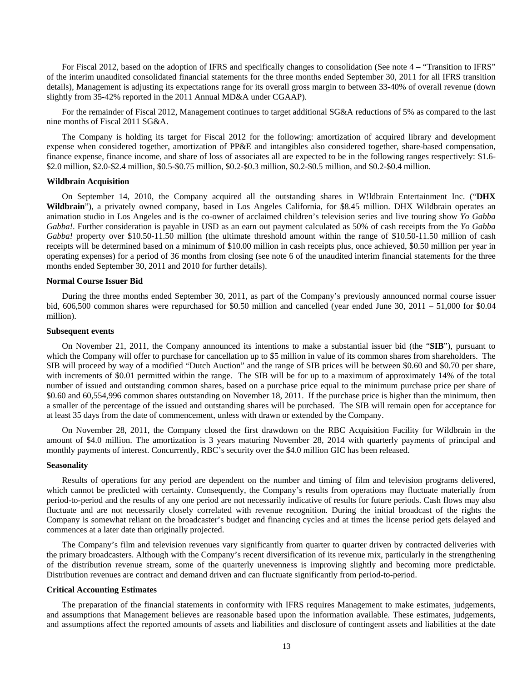For Fiscal 2012, based on the adoption of IFRS and specifically changes to consolidation (See note 4 – "Transition to IFRS" of the interim unaudited consolidated financial statements for the three months ended September 30, 2011 for all IFRS transition details), Management is adjusting its expectations range for its overall gross margin to between 33-40% of overall revenue (down slightly from 35-42% reported in the 2011 Annual MD&A under CGAAP).

For the remainder of Fiscal 2012, Management continues to target additional SG&A reductions of 5% as compared to the last nine months of Fiscal 2011 SG&A.

The Company is holding its target for Fiscal 2012 for the following: amortization of acquired library and development expense when considered together, amortization of PP&E and intangibles also considered together, share-based compensation, finance expense, finance income, and share of loss of associates all are expected to be in the following ranges respectively: \$1.6- \$2.0 million, \$2.0-\$2.4 million, \$0.5-\$0.75 million, \$0.2-\$0.3 million, \$0.2-\$0.5 million, and \$0.2-\$0.4 million.

#### **Wildbrain Acquisition**

On September 14, 2010, the Company acquired all the outstanding shares in W!ldbrain Entertainment Inc. ("**DHX Wildbrain**"), a privately owned company, based in Los Angeles California, for \$8.45 million. DHX Wildbrain operates an animation studio in Los Angeles and is the co-owner of acclaimed children's television series and live touring show *Yo Gabba Gabba!*. Further consideration is payable in USD as an earn out payment calculated as 50% of cash receipts from the *Yo Gabba Gabba!* property over \$10.50-11.50 million (the ultimate threshold amount within the range of \$10.50-11.50 million of cash receipts will be determined based on a minimum of \$10.00 million in cash receipts plus, once achieved, \$0.50 million per year in operating expenses) for a period of 36 months from closing (see note 6 of the unaudited interim financial statements for the three months ended September 30, 2011 and 2010 for further details).

#### **Normal Course Issuer Bid**

During the three months ended September 30, 2011, as part of the Company's previously announced normal course issuer bid, 606,500 common shares were repurchased for \$0.50 million and cancelled (year ended June 30, 2011 – 51,000 for \$0.04 million).

#### **Subsequent events**

On November 21, 2011, the Company announced its intentions to make a substantial issuer bid (the "**SIB**"), pursuant to which the Company will offer to purchase for cancellation up to \$5 million in value of its common shares from shareholders. The SIB will proceed by way of a modified "Dutch Auction" and the range of SIB prices will be between \$0.60 and \$0.70 per share, with increments of \$0.01 permitted within the range. The SIB will be for up to a maximum of approximately 14% of the total number of issued and outstanding common shares, based on a purchase price equal to the minimum purchase price per share of \$0.60 and 60,554,996 common shares outstanding on November 18, 2011. If the purchase price is higher than the minimum, then a smaller of the percentage of the issued and outstanding shares will be purchased. The SIB will remain open for acceptance for at least 35 days from the date of commencement, unless with drawn or extended by the Company.

On November 28, 2011, the Company closed the first drawdown on the RBC Acquisition Facility for Wildbrain in the amount of \$4.0 million. The amortization is 3 years maturing November 28, 2014 with quarterly payments of principal and monthly payments of interest. Concurrently, RBC's security over the \$4.0 million GIC has been released.

#### **Seasonality**

Results of operations for any period are dependent on the number and timing of film and television programs delivered, which cannot be predicted with certainty. Consequently, the Company's results from operations may fluctuate materially from period-to-period and the results of any one period are not necessarily indicative of results for future periods. Cash flows may also fluctuate and are not necessarily closely correlated with revenue recognition. During the initial broadcast of the rights the Company is somewhat reliant on the broadcaster's budget and financing cycles and at times the license period gets delayed and commences at a later date than originally projected.

The Company's film and television revenues vary significantly from quarter to quarter driven by contracted deliveries with the primary broadcasters. Although with the Company's recent diversification of its revenue mix, particularly in the strengthening of the distribution revenue stream, some of the quarterly unevenness is improving slightly and becoming more predictable. Distribution revenues are contract and demand driven and can fluctuate significantly from period-to-period.

#### **Critical Accounting Estimates**

The preparation of the financial statements in conformity with IFRS requires Management to make estimates, judgements, and assumptions that Management believes are reasonable based upon the information available. These estimates, judgements, and assumptions affect the reported amounts of assets and liabilities and disclosure of contingent assets and liabilities at the date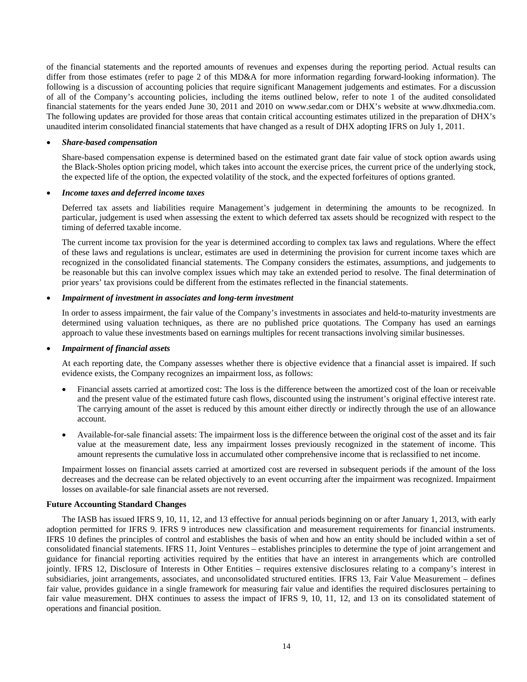of the financial statements and the reported amounts of revenues and expenses during the reporting period. Actual results can differ from those estimates (refer to page 2 of this MD&A for more information regarding forward-looking information). The following is a discussion of accounting policies that require significant Management judgements and estimates. For a discussion of all of the Company's accounting policies, including the items outlined below, refer to note 1 of the audited consolidated financial statements for the years ended June 30, 2011 and 2010 on www.sedar.com or DHX's website at www.dhxmedia.com. The following updates are provided for those areas that contain critical accounting estimates utilized in the preparation of DHX's unaudited interim consolidated financial statements that have changed as a result of DHX adopting IFRS on July 1, 2011.

# • *Share-based compensation*

Share-based compensation expense is determined based on the estimated grant date fair value of stock option awards using the Black-Sholes option pricing model, which takes into account the exercise prices, the current price of the underlying stock, the expected life of the option, the expected volatility of the stock, and the expected forfeitures of options granted.

#### • *Income taxes and deferred income taxes*

Deferred tax assets and liabilities require Management's judgement in determining the amounts to be recognized. In particular, judgement is used when assessing the extent to which deferred tax assets should be recognized with respect to the timing of deferred taxable income.

The current income tax provision for the year is determined according to complex tax laws and regulations. Where the effect of these laws and regulations is unclear, estimates are used in determining the provision for current income taxes which are recognized in the consolidated financial statements. The Company considers the estimates, assumptions, and judgements to be reasonable but this can involve complex issues which may take an extended period to resolve. The final determination of prior years' tax provisions could be different from the estimates reflected in the financial statements.

## • *Impairment of investment in associates and long-term investment*

In order to assess impairment, the fair value of the Company's investments in associates and held-to-maturity investments are determined using valuation techniques, as there are no published price quotations. The Company has used an earnings approach to value these investments based on earnings multiples for recent transactions involving similar businesses.

## • *Impairment of financial assets*

At each reporting date, the Company assesses whether there is objective evidence that a financial asset is impaired. If such evidence exists, the Company recognizes an impairment loss, as follows:

- Financial assets carried at amortized cost: The loss is the difference between the amortized cost of the loan or receivable and the present value of the estimated future cash flows, discounted using the instrument's original effective interest rate. The carrying amount of the asset is reduced by this amount either directly or indirectly through the use of an allowance account.
- Available-for-sale financial assets: The impairment loss is the difference between the original cost of the asset and its fair value at the measurement date, less any impairment losses previously recognized in the statement of income. This amount represents the cumulative loss in accumulated other comprehensive income that is reclassified to net income.

Impairment losses on financial assets carried at amortized cost are reversed in subsequent periods if the amount of the loss decreases and the decrease can be related objectively to an event occurring after the impairment was recognized. Impairment losses on available-for sale financial assets are not reversed.

#### **Future Accounting Standard Changes**

The IASB has issued IFRS 9, 10, 11, 12, and 13 effective for annual periods beginning on or after January 1, 2013, with early adoption permitted for IFRS 9. IFRS 9 introduces new classification and measurement requirements for financial instruments. IFRS 10 defines the principles of control and establishes the basis of when and how an entity should be included within a set of consolidated financial statements. IFRS 11, Joint Ventures – establishes principles to determine the type of joint arrangement and guidance for financial reporting activities required by the entities that have an interest in arrangements which are controlled jointly. IFRS 12, Disclosure of Interests in Other Entities – requires extensive disclosures relating to a company's interest in subsidiaries, joint arrangements, associates, and unconsolidated structured entities. IFRS 13, Fair Value Measurement – defines fair value, provides guidance in a single framework for measuring fair value and identifies the required disclosures pertaining to fair value measurement. DHX continues to assess the impact of IFRS 9, 10, 11, 12, and 13 on its consolidated statement of operations and financial position.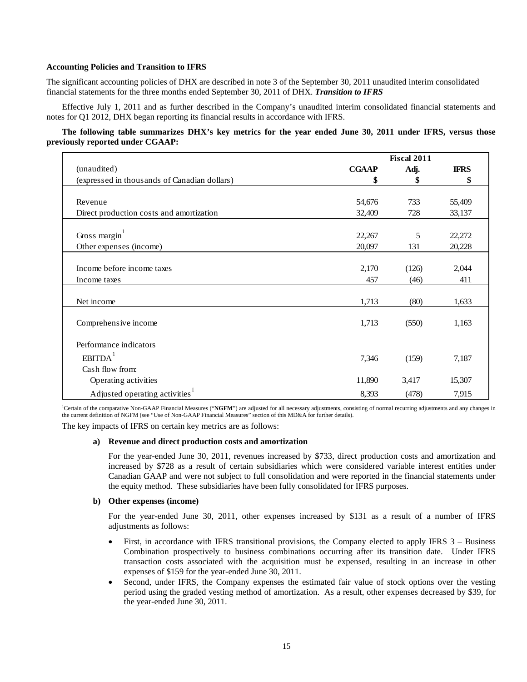# **Accounting Policies and Transition to IFRS**

The significant accounting policies of DHX are described in note 3 of the September 30, 2011 unaudited interim consolidated financial statements for the three months ended September 30, 2011 of DHX. *Transition to IFRS*

Effective July 1, 2011 and as further described in the Company's unaudited interim consolidated financial statements and notes for Q1 2012, DHX began reporting its financial results in accordance with IFRS.

# **The following table summarizes DHX's key metrics for the year ended June 30, 2011 under IFRS, versus those previously reported under CGAAP:**

|                                              |              | <b>Fiscal 2011</b> |             |
|----------------------------------------------|--------------|--------------------|-------------|
| (unaudited)                                  | <b>CGAAP</b> | Adj.               | <b>IFRS</b> |
| (expressed in thousands of Canadian dollars) | \$           | \$                 | \$          |
|                                              |              |                    |             |
| Revenue                                      | 54,676       | 733                | 55,409      |
| Direct production costs and amortization     | 32,409       | 728                | 33,137      |
|                                              |              |                    |             |
| Gross margin $1$                             | 22,267       | 5                  | 22,272      |
| Other expenses (income)                      | 20,097       | 131                | 20,228      |
|                                              |              |                    |             |
| Income before income taxes                   | 2,170        | (126)              | 2,044       |
| Income taxes                                 | 457          | (46)               | 411         |
|                                              |              |                    |             |
| Net income                                   | 1,713        | (80)               | 1,633       |
| Comprehensive income                         | 1,713        | (550)              | 1,163       |
|                                              |              |                    |             |
| Performance indicators                       |              |                    |             |
| EBITDA <sup>1</sup>                          | 7,346        | (159)              | 7,187       |
| Cash flow from:                              |              |                    |             |
| Operating activities                         | 11,890       | 3,417              | 15,307      |
| Adjusted operating activities <sup>1</sup>   | 8,393        | (478)              | 7,915       |

<sup>1</sup>Certain of the comparative Non-GAAP Financial Measures ("NGFM") are adjusted for all necessary adjustments, consisting of normal recurring adjustments and any changes in the current definition of NGFM (see "Use of Non-GAAP Financial Measures" section of this MD&A for further details).

The key impacts of IFRS on certain key metrics are as follows:

# **a) Revenue and direct production costs and amortization**

For the year-ended June 30, 2011, revenues increased by \$733, direct production costs and amortization and increased by \$728 as a result of certain subsidiaries which were considered variable interest entities under Canadian GAAP and were not subject to full consolidation and were reported in the financial statements under the equity method. These subsidiaries have been fully consolidated for IFRS purposes.

## **b) Other expenses (income)**

For the year-ended June 30, 2011, other expenses increased by \$131 as a result of a number of IFRS adjustments as follows:

- First, in accordance with IFRS transitional provisions, the Company elected to apply IFRS 3 Business Combination prospectively to business combinations occurring after its transition date. Under IFRS transaction costs associated with the acquisition must be expensed, resulting in an increase in other expenses of \$159 for the year-ended June 30, 2011.
- Second, under IFRS, the Company expenses the estimated fair value of stock options over the vesting period using the graded vesting method of amortization. As a result, other expenses decreased by \$39, for the year-ended June 30, 2011.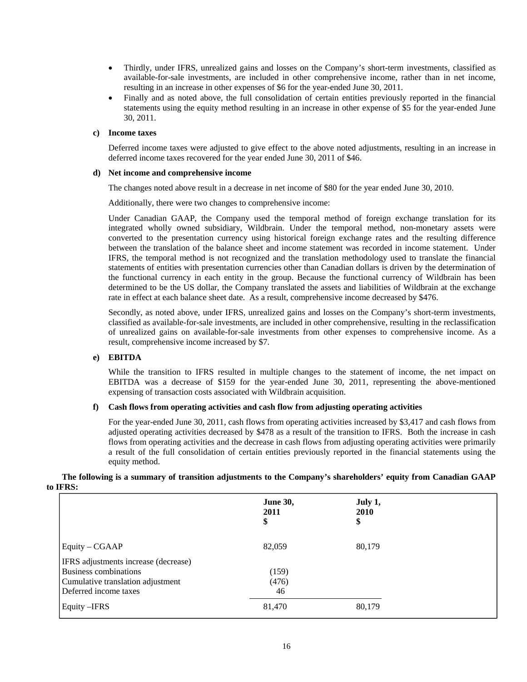- Thirdly, under IFRS, unrealized gains and losses on the Company's short-term investments, classified as available-for-sale investments, are included in other comprehensive income, rather than in net income, resulting in an increase in other expenses of \$6 for the year-ended June 30, 2011.
- Finally and as noted above, the full consolidation of certain entities previously reported in the financial statements using the equity method resulting in an increase in other expense of \$5 for the year-ended June 30, 2011.

# **c) Income taxes**

Deferred income taxes were adjusted to give effect to the above noted adjustments, resulting in an increase in deferred income taxes recovered for the year ended June 30, 2011 of \$46.

# **d) Net income and comprehensive income**

The changes noted above result in a decrease in net income of \$80 for the year ended June 30, 2010.

Additionally, there were two changes to comprehensive income:

Under Canadian GAAP, the Company used the temporal method of foreign exchange translation for its integrated wholly owned subsidiary, Wildbrain. Under the temporal method, non-monetary assets were converted to the presentation currency using historical foreign exchange rates and the resulting difference between the translation of the balance sheet and income statement was recorded in income statement. Under IFRS, the temporal method is not recognized and the translation methodology used to translate the financial statements of entities with presentation currencies other than Canadian dollars is driven by the determination of the functional currency in each entity in the group. Because the functional currency of Wildbrain has been determined to be the US dollar, the Company translated the assets and liabilities of Wildbrain at the exchange rate in effect at each balance sheet date. As a result, comprehensive income decreased by \$476.

Secondly, as noted above, under IFRS, unrealized gains and losses on the Company's short-term investments, classified as available-for-sale investments, are included in other comprehensive, resulting in the reclassification of unrealized gains on available-for-sale investments from other expenses to comprehensive income. As a result, comprehensive income increased by \$7.

# **e) EBITDA**

While the transition to IFRS resulted in multiple changes to the statement of income, the net impact on EBITDA was a decrease of \$159 for the year-ended June 30, 2011, representing the above-mentioned expensing of transaction costs associated with Wildbrain acquisition.

# **f) Cash flows from operating activities and cash flow from adjusting operating activities**

For the year-ended June 30, 2011, cash flows from operating activities increased by \$3,417 and cash flows from adjusted operating activities decreased by \$478 as a result of the transition to IFRS. Both the increase in cash flows from operating activities and the decrease in cash flows from adjusting operating activities were primarily a result of the full consolidation of certain entities previously reported in the financial statements using the equity method.

**The following is a summary of transition adjustments to the Company's shareholders' equity from Canadian GAAP to IFRS:** 

|                                      | <b>June 30,</b><br>2011<br>\$ | July 1,<br>2010<br>\$ |
|--------------------------------------|-------------------------------|-----------------------|
| Equity – CGAAP                       | 82,059                        | 80,179                |
| IFRS adjustments increase (decrease) |                               |                       |
| <b>Business combinations</b>         | (159)                         |                       |
| Cumulative translation adjustment    | (476)                         |                       |
| Deferred income taxes                | 46                            |                       |
| Equity - IFRS                        | 81,470                        | 80,179                |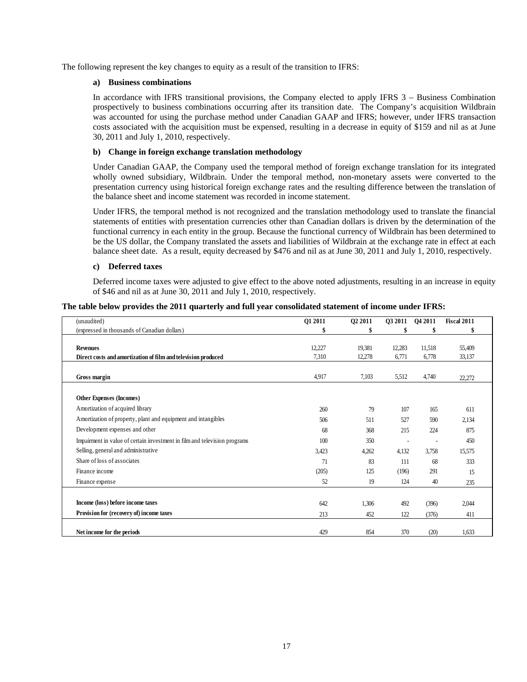The following represent the key changes to equity as a result of the transition to IFRS:

# **a) Business combinations**

In accordance with IFRS transitional provisions, the Company elected to apply IFRS 3 – Business Combination prospectively to business combinations occurring after its transition date. The Company's acquisition Wildbrain was accounted for using the purchase method under Canadian GAAP and IFRS; however, under IFRS transaction costs associated with the acquisition must be expensed, resulting in a decrease in equity of \$159 and nil as at June 30, 2011 and July 1, 2010, respectively.

# **b) Change in foreign exchange translation methodology**

Under Canadian GAAP, the Company used the temporal method of foreign exchange translation for its integrated wholly owned subsidiary, Wildbrain. Under the temporal method, non-monetary assets were converted to the presentation currency using historical foreign exchange rates and the resulting difference between the translation of the balance sheet and income statement was recorded in income statement.

Under IFRS, the temporal method is not recognized and the translation methodology used to translate the financial statements of entities with presentation currencies other than Canadian dollars is driven by the determination of the functional currency in each entity in the group. Because the functional currency of Wildbrain has been determined to be the US dollar, the Company translated the assets and liabilities of Wildbrain at the exchange rate in effect at each balance sheet date. As a result, equity decreased by \$476 and nil as at June 30, 2011 and July 1, 2010, respectively.

# **c) Deferred taxes**

Deferred income taxes were adjusted to give effect to the above noted adjustments, resulting in an increase in equity of \$46 and nil as at June 30, 2011 and July 1, 2010, respectively.

| The table below provides the 2011 quarterly and full year consolidated statement of income under IFRS: |
|--------------------------------------------------------------------------------------------------------|
|--------------------------------------------------------------------------------------------------------|

| (unaudited)                                                               | Q1 2011 | Q2 2011 | Q3 2011 | Q4 2011        | <b>Fiscal 2011</b> |
|---------------------------------------------------------------------------|---------|---------|---------|----------------|--------------------|
| (expressed in thousands of Canadian dollars)                              | \$      | \$      |         |                |                    |
|                                                                           |         |         |         |                |                    |
| <b>Revenues</b>                                                           | 12,227  | 19,381  | 12,283  | 11,518         | 55,409             |
| Direct costs and amortization of film and television produced             | 7,310   | 12,278  | 6.771   | 6,778          | 33,137             |
|                                                                           |         |         |         |                |                    |
| Gross margin                                                              | 4,917   | 7,103   | 5.512   | 4.740          | 22,272             |
|                                                                           |         |         |         |                |                    |
| Other Expenses (Incomes)                                                  |         |         |         |                |                    |
| Amortization of acquired library                                          | 260     | 79      | 107     | 165            | 611                |
| Amortization of property, plant and equipment and intangibles             | 506     | 511     | 527     | 590            | 2,134              |
| Development expenses and other                                            | 68      | 368     | 215     | 224            | 875                |
| Impairment in value of certain investment in film and television programs | 100     | 350     |         | $\overline{a}$ | 450                |
| Selling, general and administrative                                       | 3,423   | 4,262   | 4,132   | 3,758          | 15,575             |
| Share of loss of associates                                               | 71      | 83      | 111     | 68             | 333                |
| Finance income                                                            | (205)   | 125     | (196)   | 291            | 15                 |
| Finance expense                                                           | 52      | 19      | 124     | 40             | 235                |
|                                                                           |         |         |         |                |                    |
| Income (loss) before income taxes                                         | 642     | 1,306   | 492     | (396)          | 2,044              |
| Provision for (recovery of) income taxes                                  | 213     | 452     | 122     | (376)          | 411                |
|                                                                           |         |         |         |                |                    |
| Net income for the periods                                                | 429     | 854     | 370     | (20)           | 1,633              |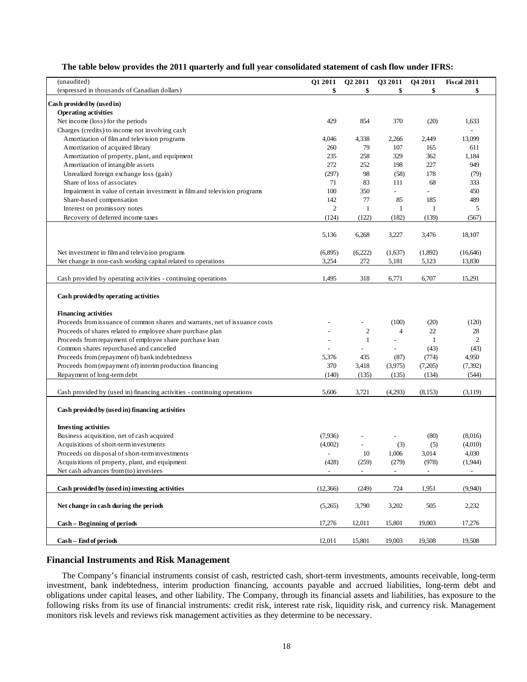# **The table below provides the 2011 quarterly and full year consolidated statement of cash flow under IFRS:**

| (unaudited)                                                                 | Q1 2011                  | Q2 2011                  | Q3 2011                  | Q4 2011                  | Fiscal 2011              |
|-----------------------------------------------------------------------------|--------------------------|--------------------------|--------------------------|--------------------------|--------------------------|
| (expressed in thousands of Canadian dollars)                                | \$                       | \$                       | \$                       | \$                       | \$                       |
| Cash provided by (used in)                                                  |                          |                          |                          |                          |                          |
| <b>Operating activities</b>                                                 |                          |                          |                          |                          |                          |
| Net income (loss) for the periods                                           | 429                      | 854                      | 370                      | (20)                     | 1,633                    |
| Charges (credits) to income not involving cash                              |                          |                          |                          |                          |                          |
| Amortization of film and television programs                                | 4,046                    | 4,338                    | 2,266                    | 2,449                    | 13,099                   |
| Amortization of acquired library                                            | 260                      | 79                       | 107                      | 165                      | 611                      |
| Amortization of property, plant, and equipment                              | 235                      | 258                      | 329                      | 362                      | 1,184                    |
| Amortization of intangible assets                                           | 272                      | 252                      | 198                      | 227                      | 949                      |
| Unrealized foreign exchange loss (gain)                                     | (297)                    | 98                       | (58)                     | 178                      | (79)                     |
| Share of loss of associates                                                 | 71                       | 83                       | 111                      | 68                       | 333                      |
| Impairment in value of certain investment in film and television programs   | 100                      | 350                      | $\overline{\phantom{a}}$ |                          | 450                      |
| Share-based compensation                                                    | 142                      | 77                       | 85                       | 185                      | 489                      |
| Interest on promissory notes                                                | $\overline{c}$           | $\mathbf{1}$             | $\mathbf{1}$             | $\mathbf{1}$             | 5                        |
| Recovery of deferred income taxes                                           | (124)                    | (122)                    | (182)                    | (139)                    | (567)                    |
|                                                                             | 5,136                    | 6,268                    | 3,227                    | 3,476                    | 18,107                   |
|                                                                             |                          |                          |                          |                          |                          |
| Net investment in film and television programs                              | (6,895)                  | (6,222)                  | (1,637)                  | (1,892)                  | (16, 646)                |
| Net change in non-cash working capital related to operations                | 3,254                    | 272                      | 5,181                    | 5,123                    | 13,830                   |
| Cash provided by operating activities - continuing operations               | 1,495                    | 318                      | 6,771                    | 6,707                    | 15,291                   |
| Cash provided by operating activities                                       |                          |                          |                          |                          |                          |
|                                                                             |                          |                          |                          |                          |                          |
| <b>Financing activities</b>                                                 |                          |                          |                          |                          |                          |
| Proceeds from issuance of common shares and warrants, net of issuance costs |                          |                          | (100)                    | (20)                     | (120)                    |
| Proceeds of shares related to employee share purchase plan                  |                          | $\overline{2}$           | $\overline{4}$           | 22                       | 28                       |
| Proceeds from repayment of employee share purchase loan                     |                          | $1\,$                    | $\overline{a}$           | $\mathbf{1}$             | $\overline{2}$           |
| Common shares repurchased and cancelled                                     | $\overline{a}$           | $\overline{a}$           | $\sim$                   | (43)                     | (43)                     |
| Proceeds from (repayment of) bank indebtedness                              | 5,376                    | 435                      | (87)                     | (774)                    | 4,950                    |
| Proceeds from (repayment of) interim production financing                   | 370                      | 3,418                    | (3,975)                  | (7,205)                  | (7, 392)                 |
| Repayment of long-term debt                                                 | (140)                    | (135)                    | (135)                    | (134)                    | (544)                    |
| Cash provided by (used in) financing activities - continuing operations     | 5,606                    | 3,721                    | (4,293)                  | (8, 153)                 | (3,119)                  |
| Cash provided by (used in) financing activities                             |                          |                          |                          |                          |                          |
|                                                                             |                          |                          |                          |                          |                          |
| <b>Investing activities</b>                                                 |                          |                          |                          |                          |                          |
| Business acquisition, net of cash acquired                                  | (7,936)                  |                          |                          | (80)                     | (8,016)                  |
| Acquisitions of short-term investments                                      | (4,002)                  |                          | (3)                      | (5)                      | (4,010)                  |
| Proceeds on disposal of short-term investments                              | $\overline{\phantom{a}}$ | 10                       | 1,006                    | 3,014                    | 4,030                    |
| Acquisitions of property, plant, and equipment                              | (428)                    | (259)                    | (279)                    | (978)                    | (1,944)                  |
| Net cash advances from (to) investees                                       | $\overline{\phantom{a}}$ | $\overline{\phantom{a}}$ | $\overline{\phantom{a}}$ | $\overline{\phantom{a}}$ | $\overline{\phantom{a}}$ |
| Cash provided by (used in) investing activities                             | (12,366)                 | (249)                    | 724                      | 1,951                    | (9,940)                  |
| Net change in cash during the periods                                       | (5,265)                  | 3,790                    | 3,202                    | 505                      | 2,232                    |
| Cash - Beginning of periods                                                 | 17,276                   | 12,011                   | 15,801                   | 19,003                   | 17,276                   |
| Cash - End of periods                                                       | 12,011                   | 15,801                   | 19,003                   | 19,508                   | 19,508                   |

# **Financial Instruments and Risk Management**

The Company's financial instruments consist of cash, restricted cash, short-term investments, amounts receivable, long-term investment, bank indebtedness, interim production financing, accounts payable and accrued liabilities, long-term debt and obligations under capital leases, and other liability. The Company, through its financial assets and liabilities, has exposure to the following risks from its use of financial instruments: credit risk, interest rate risk, liquidity risk, and currency risk. Management monitors risk levels and reviews risk management activities as they determine to be necessary.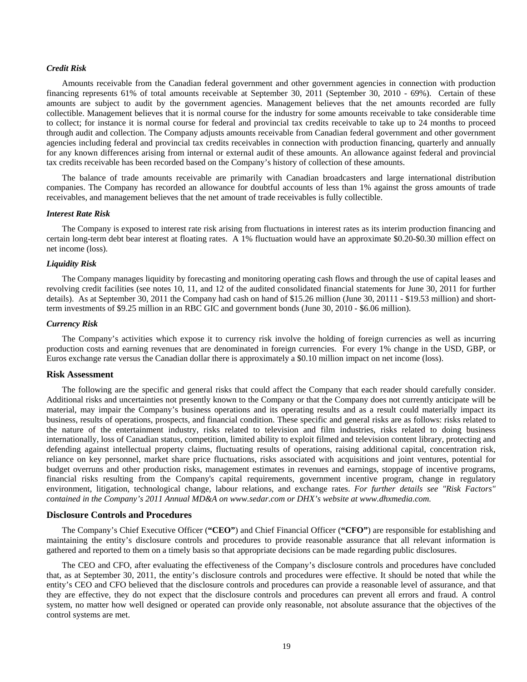#### *Credit Risk*

Amounts receivable from the Canadian federal government and other government agencies in connection with production financing represents 61% of total amounts receivable at September 30, 2011 (September 30, 2010 - 69%). Certain of these amounts are subject to audit by the government agencies. Management believes that the net amounts recorded are fully collectible. Management believes that it is normal course for the industry for some amounts receivable to take considerable time to collect; for instance it is normal course for federal and provincial tax credits receivable to take up to 24 months to proceed through audit and collection. The Company adjusts amounts receivable from Canadian federal government and other government agencies including federal and provincial tax credits receivables in connection with production financing, quarterly and annually for any known differences arising from internal or external audit of these amounts. An allowance against federal and provincial tax credits receivable has been recorded based on the Company's history of collection of these amounts.

The balance of trade amounts receivable are primarily with Canadian broadcasters and large international distribution companies. The Company has recorded an allowance for doubtful accounts of less than 1% against the gross amounts of trade receivables, and management believes that the net amount of trade receivables is fully collectible.

#### *Interest Rate Risk*

The Company is exposed to interest rate risk arising from fluctuations in interest rates as its interim production financing and certain long-term debt bear interest at floating rates. A 1% fluctuation would have an approximate \$0.20-\$0.30 million effect on net income (loss).

#### *Liquidity Risk*

The Company manages liquidity by forecasting and monitoring operating cash flows and through the use of capital leases and revolving credit facilities (see notes 10, 11, and 12 of the audited consolidated financial statements for June 30, 2011 for further details). As at September 30, 2011 the Company had cash on hand of \$15.26 million (June 30, 20111 - \$19.53 million) and shortterm investments of \$9.25 million in an RBC GIC and government bonds (June 30, 2010 - \$6.06 million).

#### *Currency Risk*

The Company's activities which expose it to currency risk involve the holding of foreign currencies as well as incurring production costs and earning revenues that are denominated in foreign currencies. For every 1% change in the USD, GBP, or Euros exchange rate versus the Canadian dollar there is approximately a \$0.10 million impact on net income (loss).

#### **Risk Assessment**

The following are the specific and general risks that could affect the Company that each reader should carefully consider. Additional risks and uncertainties not presently known to the Company or that the Company does not currently anticipate will be material, may impair the Company's business operations and its operating results and as a result could materially impact its business, results of operations, prospects, and financial condition. These specific and general risks are as follows: risks related to the nature of the entertainment industry, risks related to television and film industries, risks related to doing business internationally, loss of Canadian status, competition, limited ability to exploit filmed and television content library, protecting and defending against intellectual property claims, fluctuating results of operations, raising additional capital, concentration risk, reliance on key personnel, market share price fluctuations, risks associated with acquisitions and joint ventures, potential for budget overruns and other production risks, management estimates in revenues and earnings, stoppage of incentive programs, financial risks resulting from the Company's capital requirements, government incentive program, change in regulatory environment, litigation, technological change, labour relations, and exchange rates. *For further details see "Risk Factors" contained in the Company's 2011 Annual MD&A on www.sedar.com or DHX's website at www.dhxmedia.com.* 

## **Disclosure Controls and Procedures**

The Company's Chief Executive Officer (**"CEO"**) and Chief Financial Officer (**"CFO"**) are responsible for establishing and maintaining the entity's disclosure controls and procedures to provide reasonable assurance that all relevant information is gathered and reported to them on a timely basis so that appropriate decisions can be made regarding public disclosures.

The CEO and CFO, after evaluating the effectiveness of the Company's disclosure controls and procedures have concluded that, as at September 30, 2011, the entity's disclosure controls and procedures were effective. It should be noted that while the entity's CEO and CFO believed that the disclosure controls and procedures can provide a reasonable level of assurance, and that they are effective, they do not expect that the disclosure controls and procedures can prevent all errors and fraud. A control system, no matter how well designed or operated can provide only reasonable, not absolute assurance that the objectives of the control systems are met.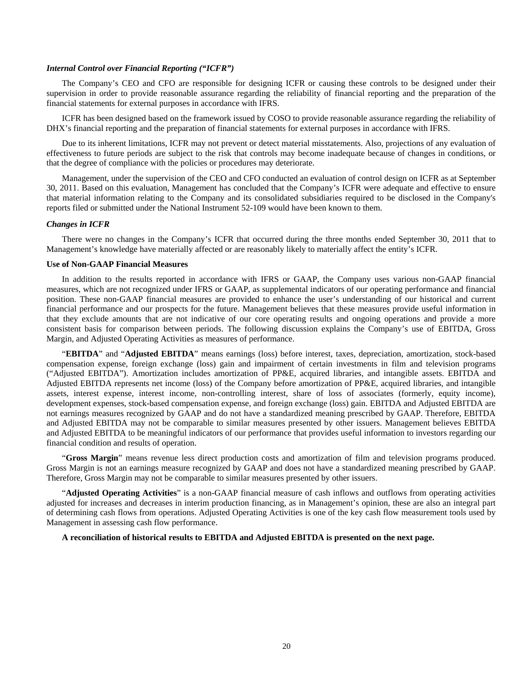#### *Internal Control over Financial Reporting ("ICFR")*

The Company's CEO and CFO are responsible for designing ICFR or causing these controls to be designed under their supervision in order to provide reasonable assurance regarding the reliability of financial reporting and the preparation of the financial statements for external purposes in accordance with IFRS.

ICFR has been designed based on the framework issued by COSO to provide reasonable assurance regarding the reliability of DHX's financial reporting and the preparation of financial statements for external purposes in accordance with IFRS.

Due to its inherent limitations, ICFR may not prevent or detect material misstatements. Also, projections of any evaluation of effectiveness to future periods are subject to the risk that controls may become inadequate because of changes in conditions, or that the degree of compliance with the policies or procedures may deteriorate.

Management, under the supervision of the CEO and CFO conducted an evaluation of control design on ICFR as at September 30, 2011. Based on this evaluation, Management has concluded that the Company's ICFR were adequate and effective to ensure that material information relating to the Company and its consolidated subsidiaries required to be disclosed in the Company's reports filed or submitted under the National Instrument 52-109 would have been known to them.

#### *Changes in ICFR*

There were no changes in the Company's ICFR that occurred during the three months ended September 30, 2011 that to Management's knowledge have materially affected or are reasonably likely to materially affect the entity's ICFR.

# **Use of Non-GAAP Financial Measures**

In addition to the results reported in accordance with IFRS or GAAP, the Company uses various non-GAAP financial measures, which are not recognized under IFRS or GAAP, as supplemental indicators of our operating performance and financial position. These non-GAAP financial measures are provided to enhance the user's understanding of our historical and current financial performance and our prospects for the future. Management believes that these measures provide useful information in that they exclude amounts that are not indicative of our core operating results and ongoing operations and provide a more consistent basis for comparison between periods. The following discussion explains the Company's use of EBITDA, Gross Margin, and Adjusted Operating Activities as measures of performance.

"**EBITDA**" and "**Adjusted EBITDA**" means earnings (loss) before interest, taxes, depreciation, amortization, stock-based compensation expense, foreign exchange (loss) gain and impairment of certain investments in film and television programs ("Adjusted EBITDA"). Amortization includes amortization of PP&E, acquired libraries, and intangible assets. EBITDA and Adjusted EBITDA represents net income (loss) of the Company before amortization of PP&E, acquired libraries, and intangible assets, interest expense, interest income, non-controlling interest, share of loss of associates (formerly, equity income), development expenses, stock-based compensation expense, and foreign exchange (loss) gain. EBITDA and Adjusted EBITDA are not earnings measures recognized by GAAP and do not have a standardized meaning prescribed by GAAP. Therefore, EBITDA and Adjusted EBITDA may not be comparable to similar measures presented by other issuers. Management believes EBITDA and Adjusted EBITDA to be meaningful indicators of our performance that provides useful information to investors regarding our financial condition and results of operation.

"**Gross Margin**" means revenue less direct production costs and amortization of film and television programs produced. Gross Margin is not an earnings measure recognized by GAAP and does not have a standardized meaning prescribed by GAAP. Therefore, Gross Margin may not be comparable to similar measures presented by other issuers.

"**Adjusted Operating Activities**" is a non-GAAP financial measure of cash inflows and outflows from operating activities adjusted for increases and decreases in interim production financing, as in Management's opinion, these are also an integral part of determining cash flows from operations. Adjusted Operating Activities is one of the key cash flow measurement tools used by Management in assessing cash flow performance.

**A reconciliation of historical results to EBITDA and Adjusted EBITDA is presented on the next page.**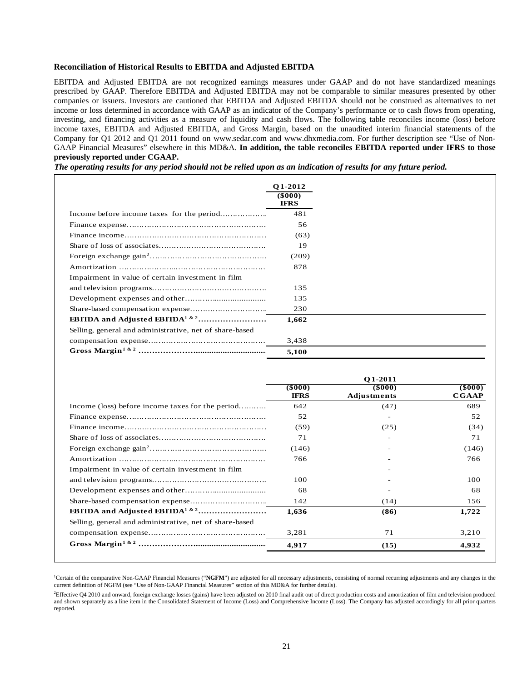## **Reconciliation of Historical Results to EBITDA and Adjusted EBITDA**

EBITDA and Adjusted EBITDA are not recognized earnings measures under GAAP and do not have standardized meanings prescribed by GAAP. Therefore EBITDA and Adjusted EBITDA may not be comparable to similar measures presented by other companies or issuers. Investors are cautioned that EBITDA and Adjusted EBITDA should not be construed as alternatives to net income or loss determined in accordance with GAAP as an indicator of the Company's performance or to cash flows from operating, investing, and financing activities as a measure of liquidity and cash flows. The following table reconciles income (loss) before income taxes, EBITDA and Adjusted EBITDA, and Gross Margin, based on the unaudited interim financial statements of the Company for Q1 2012 and Q1 2011 found on www.sedar.com and www.dhxmedia.com. For further description see "Use of Non-GAAP Financial Measures" elsewhere in this MD&A. **In addition, the table reconciles EBITDA reported under IFRS to those previously reported under CGAAP.**

*The operating results for any period should not be relied upon as an indication of results for any future period.*

|                                                         | <b>O1-2012</b>               |
|---------------------------------------------------------|------------------------------|
|                                                         | $($ \$000 $)$<br><b>IFRS</b> |
|                                                         | 481                          |
|                                                         | 56                           |
|                                                         | (63)                         |
|                                                         | 19                           |
|                                                         | (209)                        |
|                                                         | 878                          |
| Impairment in value of certain investment in film       |                              |
|                                                         | 135                          |
|                                                         | 135                          |
|                                                         | 230                          |
|                                                         | 1,662                        |
| Selling, general and administrative, net of share-based |                              |
|                                                         | 3,438                        |
|                                                         | 5,100                        |

|                                                         | O1-2011                |                       |                               |
|---------------------------------------------------------|------------------------|-----------------------|-------------------------------|
|                                                         | (\$000)<br><b>IFRS</b> | (8000)<br>Adjustments | $($ \$000 $)$<br><b>CGAAP</b> |
| Income (loss) before income taxes for the period        | 642                    | (47)                  | 689                           |
|                                                         | 52                     |                       | 52                            |
|                                                         | (59)                   | (25)                  | (34)                          |
|                                                         | 71                     |                       | 71                            |
|                                                         | (146)                  |                       | (146)                         |
|                                                         | 766                    |                       | 766                           |
| Impairment in value of certain investment in film       |                        |                       |                               |
|                                                         | 100                    |                       | 100                           |
|                                                         | 68                     |                       | 68                            |
|                                                         | 142                    | (14)                  | 156                           |
|                                                         | 1,636                  | (86)                  | 1,722                         |
| Selling, general and administrative, net of share-based |                        |                       |                               |
|                                                         | 3,281                  | 71                    | 3,210                         |
|                                                         | 4,917                  | (15)                  | 4,932                         |

<sup>1</sup>Certain of the comparative Non-GAAP Financial Measures ("NGFM") are adjusted for all necessary adjustments, consisting of normal recurring adjustments and any changes in the current definition of NGFM (see "Use of Non-GAAP Financial Measures" section of this MD&A for further details).

2 Effective Q4 2010 and onward, foreign exchange losses (gains) have been adjusted on 2010 final audit out of direct production costs and amortization of film and television produced and shown separately as a line item in the Consolidated Statement of Income (Loss) and Comprehensive Income (Loss). The Company has adjusted accordingly for all prior quarters reported.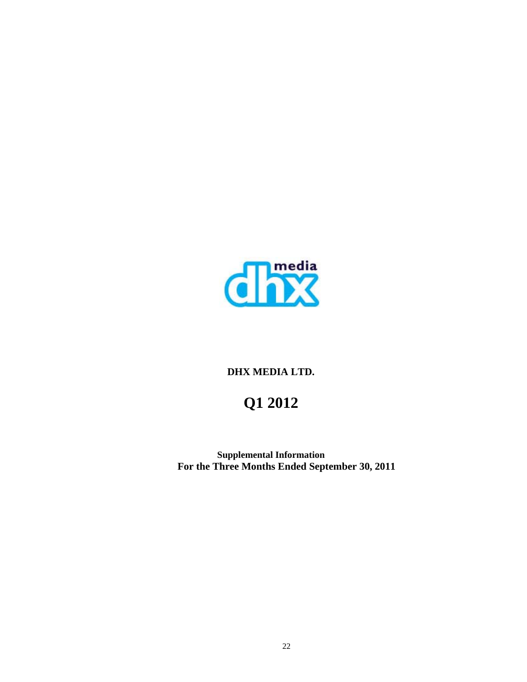

# **DHX MEDIA LTD.**

# **Q1 2012**

**Supplemental Information For the Three Months Ended September 30, 2011**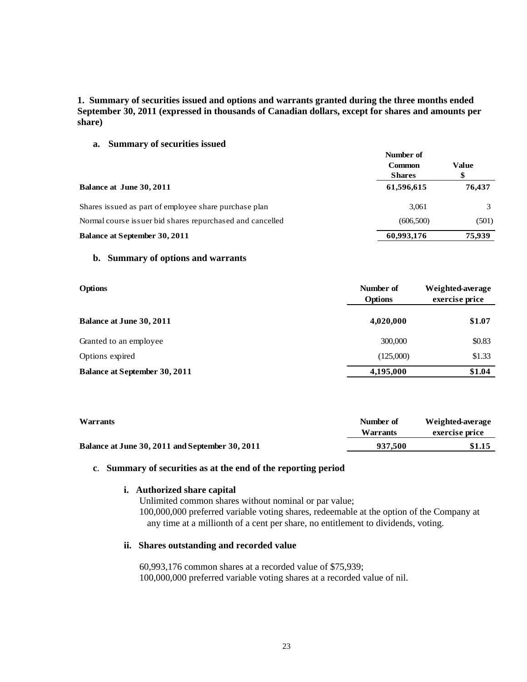# **1. Summary of securities issued and options and warrants granted during the three months ended September 30, 2011 (expressed in thousands of Canadian dollars, except for shares and amounts per share)**

**a. Summary of securities issued** 

|                                                           | Number of<br>Value<br><b>Common</b> |        |
|-----------------------------------------------------------|-------------------------------------|--------|
|                                                           |                                     |        |
|                                                           | <b>Shares</b>                       |        |
| Balance at June 30, 2011                                  | 61,596,615                          | 76,437 |
| Shares issued as part of employee share purchase plan     | 3,061                               |        |
| Normal course issuer bid shares repurchased and cancelled | (606, 500)                          | (501)  |
| <b>Balance at September 30, 2011</b>                      | 60,993,176                          | 75.939 |

# **b. Summary of options and warrants**

| <b>Options</b>                       | Number of<br><b>Options</b> | Weighted-average<br>exercise price |
|--------------------------------------|-----------------------------|------------------------------------|
| <b>Balance at June 30, 2011</b>      | 4,020,000                   | \$1.07                             |
| Granted to an employee               | 300,000                     | \$0.83                             |
| Options expired                      | (125,000)                   | \$1.33                             |
| <b>Balance at September 30, 2011</b> | 4,195,000                   | \$1.04                             |

| <b>Warrants</b>                                 | Number of<br>Warrants | Weighted-average<br>exercise price |  |
|-------------------------------------------------|-----------------------|------------------------------------|--|
| Balance at June 30, 2011 and September 30, 2011 | 937.500               | \$1.15                             |  |

# **c**. **Summary of securities as at the end of the reporting period**

# **i. Authorized share capital**

Unlimited common shares without nominal or par value; 100,000,000 preferred variable voting shares, redeemable at the option of the Company at any time at a millionth of a cent per share, no entitlement to dividends, voting.

# **ii. Shares outstanding and recorded value**

60,993,176 common shares at a recorded value of \$75,939; 100,000,000 preferred variable voting shares at a recorded value of nil.